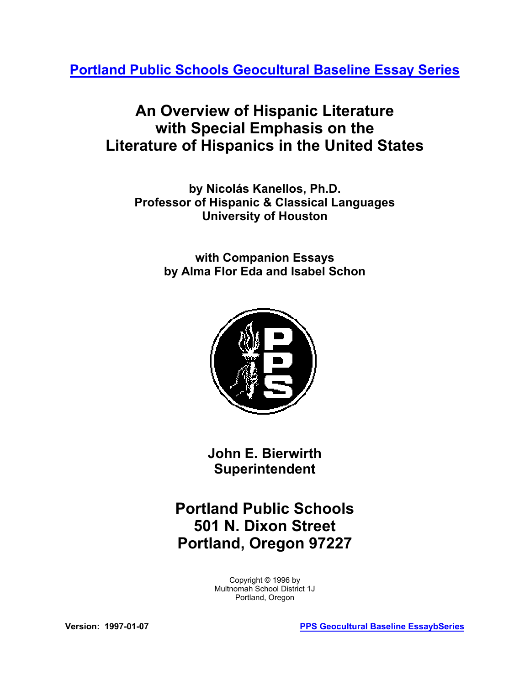**[Portland Public Schools Geocultural Baseline Essay Series](http://www.pps.k12.or.us/district/depts/mc-me/essays.shtml)**

# **An Overview of Hispanic Literature with Special Emphasis on the Literature of Hispanics in the United States**

**by Nicolás Kanellos, Ph.D. Professor of Hispanic & Classical Languages University of Houston** 

> **with Companion Essays by Alma Flor Eda and Isabel Schon**



**John E. Bierwirth Superintendent**

**Portland Public Schools 501 N. Dixon Street Portland, Oregon 97227** 

> Copyright © 1996 by Multnomah School District 1J Portland, Oregon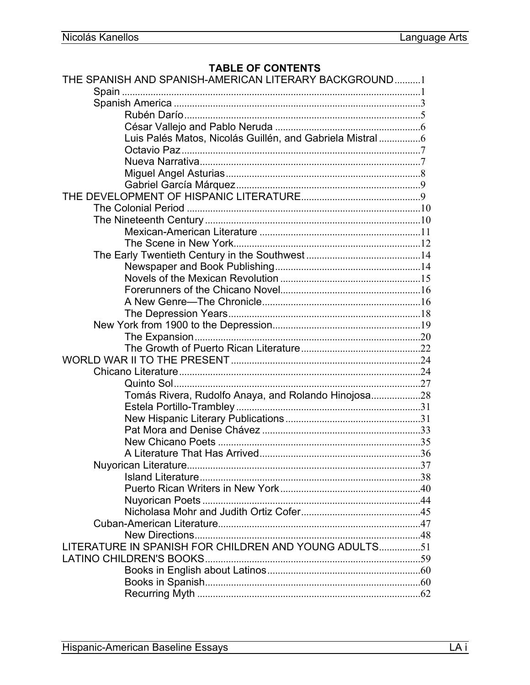# TABLE OF CONTENTS

| THE SPANISH AND SPANISH-AMERICAN LITERARY BACKGROUND1     |  |
|-----------------------------------------------------------|--|
|                                                           |  |
|                                                           |  |
|                                                           |  |
|                                                           |  |
| Luis Palés Matos, Nicolás Guillén, and Gabriela Mistral 6 |  |
|                                                           |  |
|                                                           |  |
|                                                           |  |
|                                                           |  |
|                                                           |  |
|                                                           |  |
|                                                           |  |
|                                                           |  |
|                                                           |  |
|                                                           |  |
|                                                           |  |
|                                                           |  |
|                                                           |  |
|                                                           |  |
|                                                           |  |
|                                                           |  |
|                                                           |  |
|                                                           |  |
|                                                           |  |
|                                                           |  |
|                                                           |  |
| Tomás Rivera, Rudolfo Anaya, and Rolando Hinojosa28       |  |
|                                                           |  |
|                                                           |  |
|                                                           |  |
|                                                           |  |
|                                                           |  |
|                                                           |  |
|                                                           |  |
|                                                           |  |
|                                                           |  |
|                                                           |  |
|                                                           |  |
|                                                           |  |
| ITERATURE IN SPANISH FOR CHILDREN AND YOUNG ADULTS51      |  |
|                                                           |  |
|                                                           |  |
|                                                           |  |
|                                                           |  |
|                                                           |  |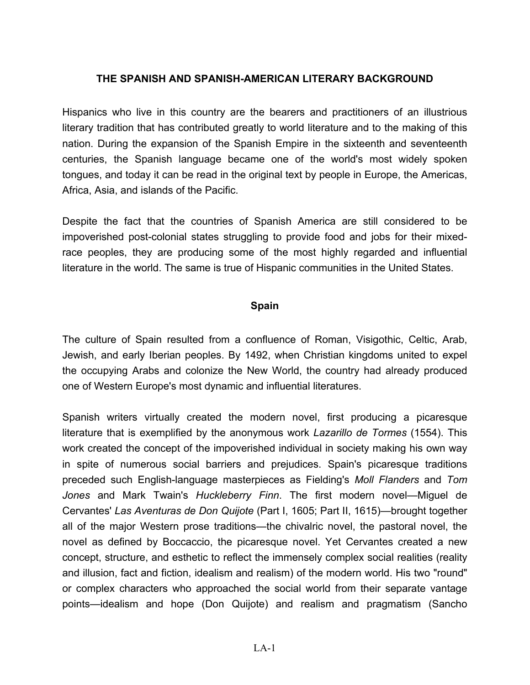#### <span id="page-2-0"></span>**THE SPANISH AND SPANISH-AMERICAN LITERARY BACKGROUND**

Hispanics who live in this country are the bearers and practitioners of an illustrious literary tradition that has contributed greatly to world literature and to the making of this nation. During the expansion of the Spanish Empire in the sixteenth and seventeenth centuries, the Spanish language became one of the world's most widely spoken tongues, and today it can be read in the original text by people in Europe, the Americas, Africa, Asia, and islands of the Pacific.

Despite the fact that the countries of Spanish America are still considered to be impoverished post-colonial states struggling to provide food and jobs for their mixedrace peoples, they are producing some of the most highly regarded and influential literature in the world. The same is true of Hispanic communities in the United States.

#### **Spain**

The culture of Spain resulted from a confluence of Roman, Visigothic, Celtic, Arab, Jewish, and early Iberian peoples. By 1492, when Christian kingdoms united to expel the occupying Arabs and colonize the New World, the country had already produced one of Western Europe's most dynamic and influential literatures.

Spanish writers virtually created the modern novel, first producing a picaresque literature that is exemplified by the anonymous work *Lazarillo de Tormes* (1554). This work created the concept of the impoverished individual in society making his own way in spite of numerous social barriers and prejudices. Spain's picaresque traditions preceded such English-language masterpieces as Fielding's *Moll Flanders* and *Tom Jones* and Mark Twain's *Huckleberry Finn*. The first modern novel—Miguel de Cervantes' *Las Aventuras de Don Quijote* (Part I, 1605; Part II, 1615)—brought together all of the major Western prose traditions—the chivalric novel, the pastoral novel, the novel as defined by Boccaccio, the picaresque novel. Yet Cervantes created a new concept, structure, and esthetic to reflect the immensely complex social realities (reality and illusion, fact and fiction, idealism and realism) of the modern world. His two "round" or complex characters who approached the social world from their separate vantage points—idealism and hope (Don Quijote) and realism and pragmatism (Sancho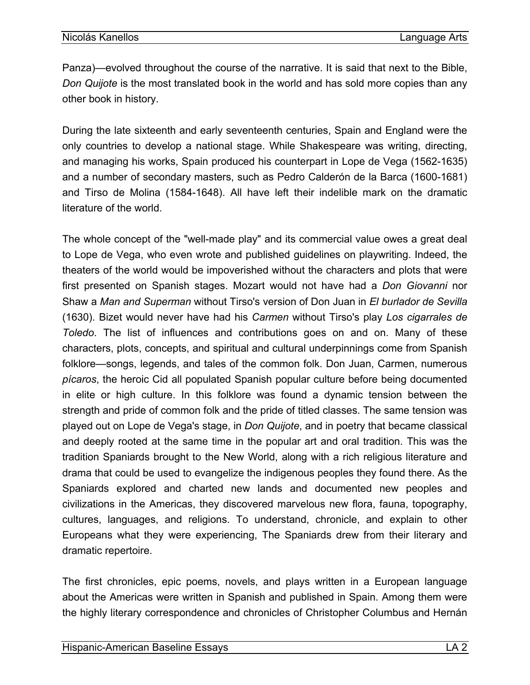Panza)—evolved throughout the course of the narrative. It is said that next to the Bible, *Don Quijote* is the most translated book in the world and has sold more copies than any other book in history.

During the late sixteenth and early seventeenth centuries, Spain and England were the only countries to develop a national stage. While Shakespeare was writing, directing, and managing his works, Spain produced his counterpart in Lope de Vega (1562-1635) and a number of secondary masters, such as Pedro Calderón de la Barca (1600-1681) and Tirso de Molina (1584-1648). All have left their indelible mark on the dramatic literature of the world.

The whole concept of the "well-made play" and its commercial value owes a great deal to Lope de Vega, who even wrote and published guidelines on playwriting. Indeed, the theaters of the world would be impoverished without the characters and plots that were first presented on Spanish stages. Mozart would not have had a *Don Giovanni* nor Shaw a *Man and Superman* without Tirso's version of Don Juan in *El burlador de Sevilla* (1630). Bizet would never have had his *Carmen* without Tirso's play *Los cigarrales de Toledo*. The list of influences and contributions goes on and on. Many of these characters, plots, concepts, and spiritual and cultural underpinnings come from Spanish folklore—songs, legends, and tales of the common folk. Don Juan, Carmen, numerous *pícaros*, the heroic Cid all populated Spanish popular culture before being documented in elite or high culture. In this folklore was found a dynamic tension between the strength and pride of common folk and the pride of titled classes. The same tension was played out on Lope de Vega's stage, in *Don Quijote*, and in poetry that became classical and deeply rooted at the same time in the popular art and oral tradition. This was the tradition Spaniards brought to the New World, along with a rich religious literature and drama that could be used to evangelize the indigenous peoples they found there. As the Spaniards explored and charted new lands and documented new peoples and civilizations in the Americas, they discovered marvelous new flora, fauna, topography, cultures, languages, and religions. To understand, chronicle, and explain to other Europeans what they were experiencing, The Spaniards drew from their literary and dramatic repertoire.

The first chronicles, epic poems, novels, and plays written in a European language about the Americas were written in Spanish and published in Spain. Among them were the highly literary correspondence and chronicles of Christopher Columbus and Hernán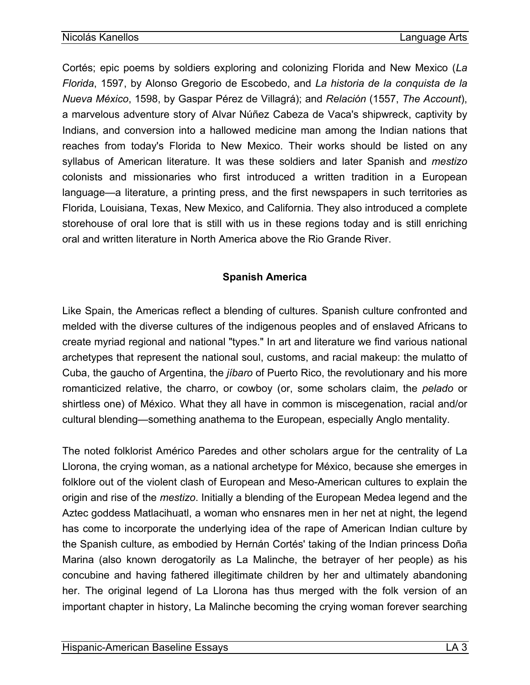<span id="page-4-0"></span>Cortés; epic poems by soldiers exploring and colonizing Florida and New Mexico (*La Florida*, 1597, by Alonso Gregorio de Escobedo, and *La historia de la conquista de la Nueva México*, 1598, by Gaspar Pérez de Villagrá); and *Relación* (1557, *The Account*), a marvelous adventure story of Alvar Núñez Cabeza de Vaca's shipwreck, captivity by Indians, and conversion into a hallowed medicine man among the Indian nations that reaches from today's Florida to New Mexico. Their works should be listed on any syllabus of American literature. It was these soldiers and later Spanish and *mestizo* colonists and missionaries who first introduced a written tradition in a European language—a literature, a printing press, and the first newspapers in such territories as Florida, Louisiana, Texas, New Mexico, and California. They also introduced a complete storehouse of oral lore that is still with us in these regions today and is still enriching oral and written literature in North America above the Rio Grande River.

# **Spanish America**

Like Spain, the Americas reflect a blending of cultures. Spanish culture confronted and melded with the diverse cultures of the indigenous peoples and of enslaved Africans to create myriad regional and national "types." In art and literature we find various national archetypes that represent the national soul, customs, and racial makeup: the mulatto of Cuba, the gaucho of Argentina, the *jíbaro* of Puerto Rico, the revolutionary and his more romanticized relative, the charro, or cowboy (or, some scholars claim, the *pelado* or shirtless one) of México. What they all have in common is miscegenation, racial and/or cultural blending—something anathema to the European, especially Anglo mentality.

The noted folklorist Américo Paredes and other scholars argue for the centrality of La Llorona, the crying woman, as a national archetype for México, because she emerges in folklore out of the violent clash of European and Meso-American cultures to explain the origin and rise of the *mestizo*. Initially a blending of the European Medea legend and the Aztec goddess Matlacihuatl, a woman who ensnares men in her net at night, the legend has come to incorporate the underlying idea of the rape of American Indian culture by the Spanish culture, as embodied by Hernán Cortés' taking of the Indian princess Doña Marina (also known derogatorily as La Malinche, the betrayer of her people) as his concubine and having fathered illegitimate children by her and ultimately abandoning her. The original legend of La Llorona has thus merged with the folk version of an important chapter in history, La Malinche becoming the crying woman forever searching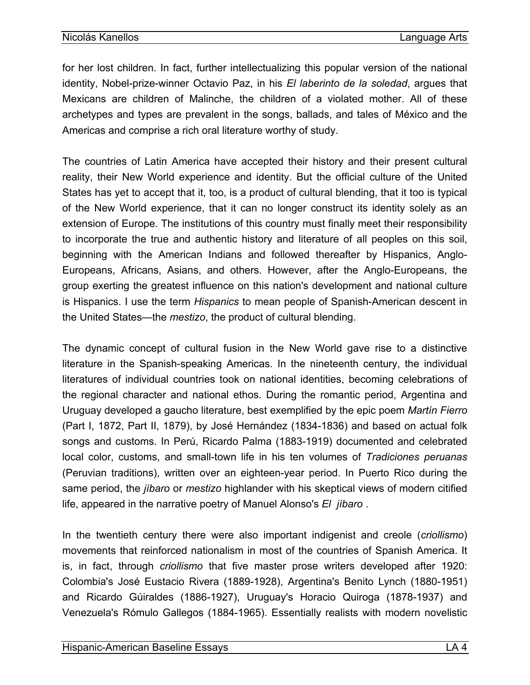for her lost children. In fact, further intellectualizing this popular version of the national identity, Nobel-prize-winner Octavio Paz, in his *El laberinto de la soledad*, argues that Mexicans are children of Malinche, the children of a violated mother. All of these archetypes and types are prevalent in the songs, ballads, and tales of México and the Americas and comprise a rich oral literature worthy of study.

The countries of Latin America have accepted their history and their present cultural reality, their New World experience and identity. But the official culture of the United States has yet to accept that it, too, is a product of cultural blending, that it too is typical of the New World experience, that it can no longer construct its identity solely as an extension of Europe. The institutions of this country must finally meet their responsibility to incorporate the true and authentic history and literature of all peoples on this soil, beginning with the American Indians and followed thereafter by Hispanics, Anglo-Europeans, Africans, Asians, and others. However, after the Anglo-Europeans, the group exerting the greatest influence on this nation's development and national culture is Hispanics. I use the term *Hispanics* to mean people of Spanish-American descent in the United States—the *mestizo*, the product of cultural blending.

The dynamic concept of cultural fusion in the New World gave rise to a distinctive literature in the Spanish-speaking Americas. In the nineteenth century, the individual literatures of individual countries took on national identities, becoming celebrations of the regional character and national ethos. During the romantic period, Argentina and Uruguay developed a gaucho literature, best exemplified by the epic poem *Martín Fierro* (Part I, 1872, Part II, 1879), by José Hernández (1834-1836) and based on actual folk songs and customs. In Perú, Ricardo Palma (1883-1919) documented and celebrated local color, customs, and small-town life in his ten volumes of *Tradiciones peruanas* (Peruvian traditions), written over an eighteen-year period. In Puerto Rico during the same period, the *jíbaro* or *mestizo* highlander with his skeptical views of modern citified life, appeared in the narrative poetry of Manuel Alonso's *El jíbaro* .

In the twentieth century there were also important indigenist and creole (*criollismo*) movements that reinforced nationalism in most of the countries of Spanish America. It is, in fact, through *criollismo* that five master prose writers developed after 1920: Colombia's José Eustacio Rivera (1889-1928), Argentina's Benito Lynch (1880-1951) and Ricardo Gúiraldes (1886-1927), Uruguay's Horacio Quiroga (1878-1937) and Venezuela's Rómulo Gallegos (1884-1965). Essentially realists with modern novelistic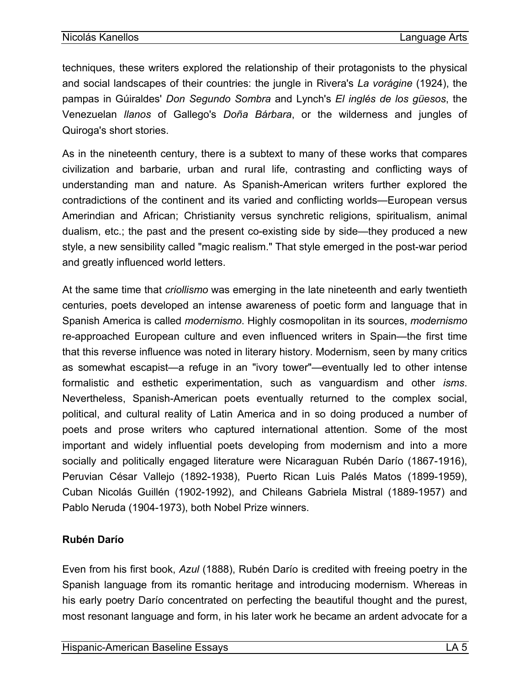<span id="page-6-0"></span>techniques, these writers explored the relationship of their protagonists to the physical and social landscapes of their countries: the jungle in Rivera's *La vorágine* (1924), the pampas in Gúiraldes' *Don Segundo Sombra* and Lynch's *El inglés de los güesos*, the Venezuelan *llanos* of Gallego's *Doña Bárbara*, or the wilderness and jungles of Quiroga's short stories.

As in the nineteenth century, there is a subtext to many of these works that compares civilization and barbarie, urban and rural life, contrasting and conflicting ways of understanding man and nature. As Spanish-American writers further explored the contradictions of the continent and its varied and conflicting worlds—European versus Amerindian and African; Christianity versus synchretic religions, spiritualism, animal dualism, etc.; the past and the present co-existing side by side—they produced a new style, a new sensibility called "magic realism." That style emerged in the post-war period and greatly influenced world letters.

At the same time that *criollismo* was emerging in the late nineteenth and early twentieth centuries, poets developed an intense awareness of poetic form and language that in Spanish America is called *modernismo*. Highly cosmopolitan in its sources, *modernismo* re-approached European culture and even influenced writers in Spain—the first time that this reverse influence was noted in literary history. Modernism, seen by many critics as somewhat escapist—a refuge in an "ivory tower"—eventually led to other intense formalistic and esthetic experimentation, such as vanguardism and other *isms*. Nevertheless, Spanish-American poets eventually returned to the complex social, political, and cultural reality of Latin America and in so doing produced a number of poets and prose writers who captured international attention. Some of the most important and widely influential poets developing from modernism and into a more socially and politically engaged literature were Nicaraguan Rubén Darío (1867-1916), Peruvian César Vallejo (1892-1938), Puerto Rican Luis Palés Matos (1899-1959), Cuban Nicolás Guillén (1902-1992), and Chileans Gabriela Mistral (1889-1957) and Pablo Neruda (1904-1973), both Nobel Prize winners.

### **Rubén Darío**

Even from his first book, *Azul* (1888), Rubén Darío is credited with freeing poetry in the Spanish language from its romantic heritage and introducing modernism. Whereas in his early poetry Darío concentrated on perfecting the beautiful thought and the purest, most resonant language and form, in his later work he became an ardent advocate for a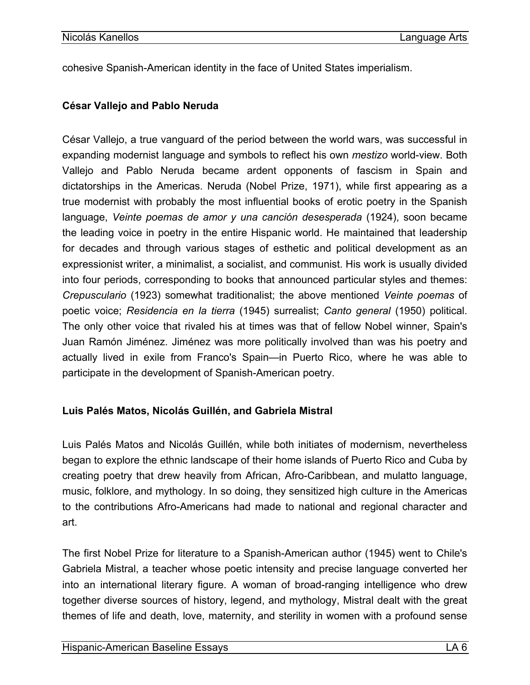<span id="page-7-0"></span>cohesive Spanish-American identity in the face of United States imperialism.

### **César Vallejo and Pablo Neruda**

César Vallejo, a true vanguard of the period between the world wars, was successful in expanding modernist language and symbols to reflect his own *mestizo* world-view. Both Vallejo and Pablo Neruda became ardent opponents of fascism in Spain and dictatorships in the Americas. Neruda (Nobel Prize, 1971), while first appearing as a true modernist with probably the most influential books of erotic poetry in the Spanish language, *Veinte poemas de amor y una canción desesperada* (1924), soon became the leading voice in poetry in the entire Hispanic world. He maintained that leadership for decades and through various stages of esthetic and political development as an expressionist writer, a minimalist, a socialist, and communist. His work is usually divided into four periods, corresponding to books that announced particular styles and themes: *Crepusculario* (1923) somewhat traditionalist; the above mentioned *Veinte poemas* of poetic voice; *Residencia en la tierra* (1945) surrealist; *Canto general* (1950) political. The only other voice that rivaled his at times was that of fellow Nobel winner, Spain's Juan Ramón Jiménez. Jiménez was more politically involved than was his poetry and actually lived in exile from Franco's Spain—in Puerto Rico, where he was able to participate in the development of Spanish-American poetry.

### **Luis Palés Matos, Nicolás Guillén, and Gabriela Mistral**

Luis Palés Matos and Nicolás Guillén, while both initiates of modernism, nevertheless began to explore the ethnic landscape of their home islands of Puerto Rico and Cuba by creating poetry that drew heavily from African, Afro-Caribbean, and mulatto language, music, folklore, and mythology. In so doing, they sensitized high culture in the Americas to the contributions Afro-Americans had made to national and regional character and art.

The first Nobel Prize for literature to a Spanish-American author (1945) went to Chile's Gabriela Mistral, a teacher whose poetic intensity and precise language converted her into an international literary figure. A woman of broad-ranging intelligence who drew together diverse sources of history, legend, and mythology, Mistral dealt with the great themes of life and death, love, maternity, and sterility in women with a profound sense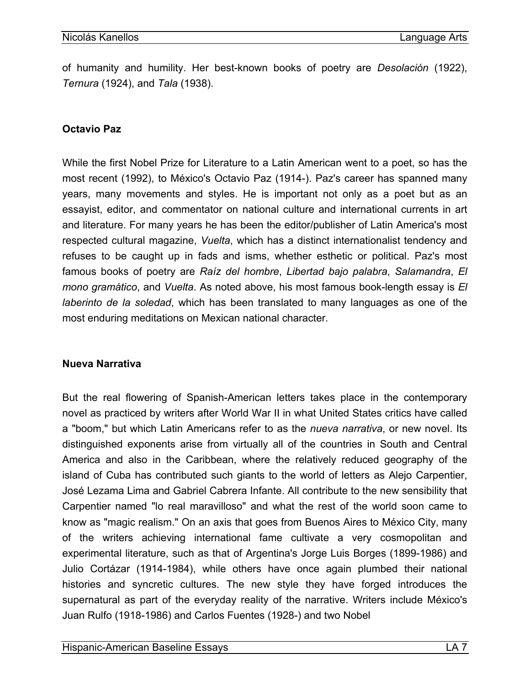<span id="page-8-0"></span>of humanity and humility. Her best-known books of poetry are *Desolación* (1922), *Ternura* (1924), and *Tala* (1938).

### **Octavio Paz**

While the first Nobel Prize for Literature to a Latin American went to a poet, so has the most recent (1992), to México's Octavio Paz (1914-). Paz's career has spanned many years, many movements and styles. He is important not only as a poet but as an essayist, editor, and commentator on national culture and international currents in art and literature. For many years he has been the editor/publisher of Latin America's most respected cultural magazine, *Vuelta*, which has a distinct internationalist tendency and refuses to be caught up in fads and isms, whether esthetic or political. Paz's most famous books of poetry are *Raíz del hombre*, *Libertad bajo palabra*, *Salamandra*, *El mono gramático*, and *Vuelta*. As noted above, his most famous book-length essay is *El laberinto de la soledad*, which has been translated to many languages as one of the most enduring meditations on Mexican national character.

### **Nueva Narrativa**

But the real flowering of Spanish-American letters takes place in the contemporary novel as practiced by writers after World War II in what United States critics have called a "boom," but which Latin Americans refer to as the *nueva narrativa*, or new novel. Its distinguished exponents arise from virtually all of the countries in South and Central America and also in the Caribbean, where the relatively reduced geography of the island of Cuba has contributed such giants to the world of letters as Alejo Carpentier, José Lezama Lima and Gabriel Cabrera Infante. All contribute to the new sensibility that Carpentier named "lo real maravilloso" and what the rest of the world soon came to know as "magic realism." On an axis that goes from Buenos Aires to México City, many of the writers achieving international fame cultivate a very cosmopolitan and experimental literature, such as that of Argentina's Jorge Luis Borges (1899-1986) and Julio Cortázar (1914-1984), while others have once again plumbed their national histories and syncretic cultures. The new style they have forged introduces the supernatural as part of the everyday reality of the narrative. Writers include México's Juan Rulfo (1918-1986) and Carlos Fuentes (1928-) and two Nobel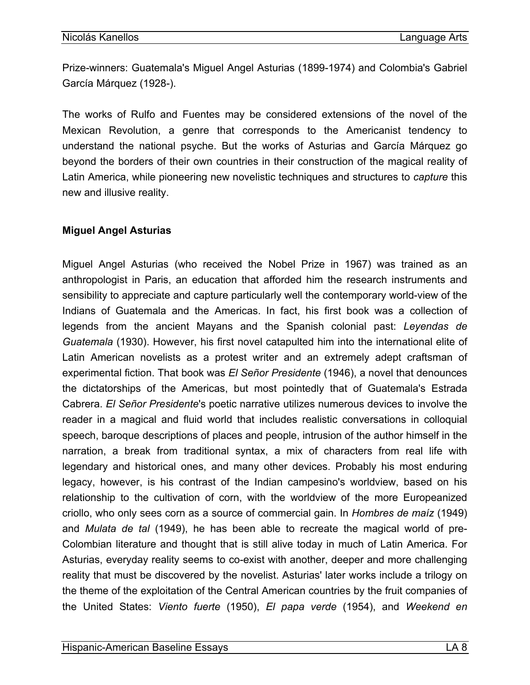<span id="page-9-0"></span>Prize-winners: Guatemala's Miguel Angel Asturias (1899-1974) and Colombia's Gabriel García Márquez (1928-).

The works of Rulfo and Fuentes may be considered extensions of the novel of the Mexican Revolution, a genre that corresponds to the Americanist tendency to understand the national psyche. But the works of Asturias and García Márquez go beyond the borders of their own countries in their construction of the magical reality of Latin America, while pioneering new novelistic techniques and structures to *capture* this new and illusive reality.

# **Miguel Angel Asturias**

Miguel Angel Asturias (who received the Nobel Prize in 1967) was trained as an anthropologist in Paris, an education that afforded him the research instruments and sensibility to appreciate and capture particularly well the contemporary world-view of the Indians of Guatemala and the Americas. In fact, his first book was a collection of legends from the ancient Mayans and the Spanish colonial past: *Leyendas de Guatemala* (1930). However, his first novel catapulted him into the international elite of Latin American novelists as a protest writer and an extremely adept craftsman of experimental fiction. That book was *El Señor Presidente* (1946), a novel that denounces the dictatorships of the Americas, but most pointedly that of Guatemala's Estrada Cabrera. *El Señor Presidente*'s poetic narrative utilizes numerous devices to involve the reader in a magical and fluid world that includes realistic conversations in colloquial speech, baroque descriptions of places and people, intrusion of the author himself in the narration, a break from traditional syntax, a mix of characters from real life with legendary and historical ones, and many other devices. Probably his most enduring legacy, however, is his contrast of the Indian campesino's worldview, based on his relationship to the cultivation of corn, with the worldview of the more Europeanized criollo, who only sees corn as a source of commercial gain. In *Hombres de maíz* (1949) and *Mulata de tal* (1949), he has been able to recreate the magical world of pre-Colombian literature and thought that is still alive today in much of Latin America. For Asturias, everyday reality seems to co-exist with another, deeper and more challenging reality that must be discovered by the novelist. Asturias' later works include a trilogy on the theme of the exploitation of the Central American countries by the fruit companies of the United States: *Viento fuerte* (1950), *El papa verde* (1954), and *Weekend en*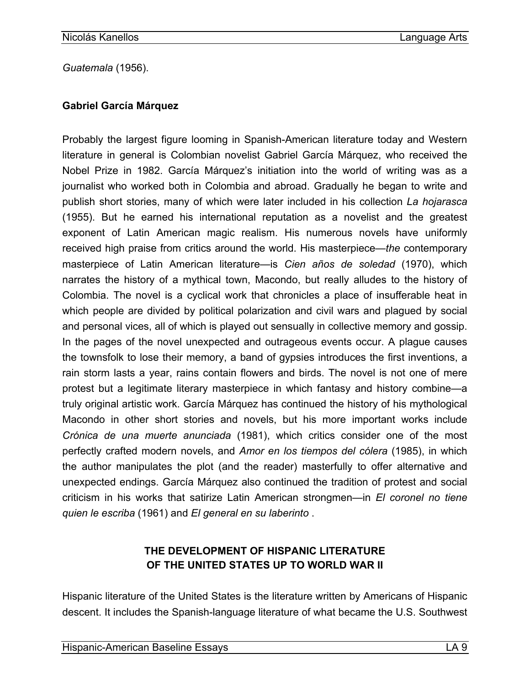<span id="page-10-0"></span>*Guatemala* (1956).

### **Gabriel García Márquez**

Probably the largest figure looming in Spanish-American literature today and Western literature in general is Colombian novelist Gabriel García Márquez, who received the Nobel Prize in 1982. García Márquez's initiation into the world of writing was as a journalist who worked both in Colombia and abroad. Gradually he began to write and publish short stories, many of which were later included in his collection *La hojarasca* (1955). But he earned his international reputation as a novelist and the greatest exponent of Latin American magic realism. His numerous novels have uniformly received high praise from critics around the world. His masterpiece—*the* contemporary masterpiece of Latin American literature—is *Cien años de soledad* (1970), which narrates the history of a mythical town, Macondo, but really alludes to the history of Colombia. The novel is a cyclical work that chronicles a place of insufferable heat in which people are divided by political polarization and civil wars and plagued by social and personal vices, all of which is played out sensually in collective memory and gossip. In the pages of the novel unexpected and outrageous events occur. A plague causes the townsfolk to lose their memory, a band of gypsies introduces the first inventions, a rain storm lasts a year, rains contain flowers and birds. The novel is not one of mere protest but a legitimate literary masterpiece in which fantasy and history combine—a truly original artistic work. García Márquez has continued the history of his mythological Macondo in other short stories and novels, but his more important works include *Crónica de una muerte anunciada* (1981), which critics consider one of the most perfectly crafted modern novels, and *Amor en los tiempos del cólera* (1985), in which the author manipulates the plot (and the reader) masterfully to offer alternative and unexpected endings. García Márquez also continued the tradition of protest and social criticism in his works that satirize Latin American strongmen—in *El coronel no tiene quien le escriba* (1961) and *El general en su laberinto* .

# **THE DEVELOPMENT OF HISPANIC LITERATURE OF THE UNITED STATES UP TO WORLD WAR II**

Hispanic literature of the United States is the literature written by Americans of Hispanic descent. It includes the Spanish-language literature of what became the U.S. Southwest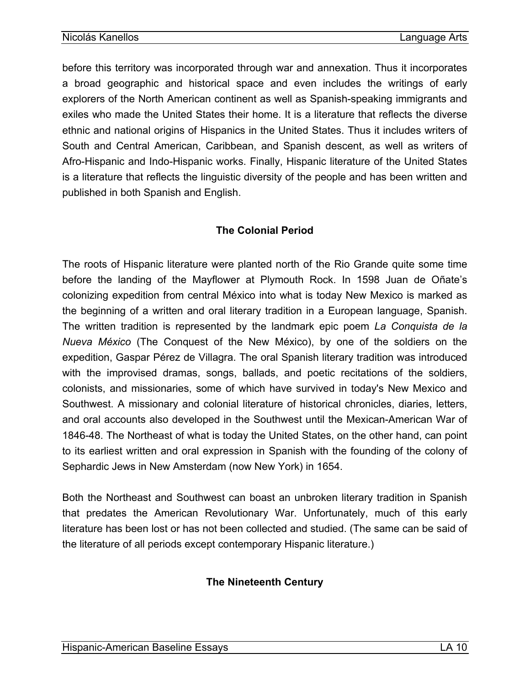<span id="page-11-0"></span>before this territory was incorporated through war and annexation. Thus it incorporates a broad geographic and historical space and even includes the writings of early explorers of the North American continent as well as Spanish-speaking immigrants and exiles who made the United States their home. It is a literature that reflects the diverse ethnic and national origins of Hispanics in the United States. Thus it includes writers of South and Central American, Caribbean, and Spanish descent, as well as writers of Afro-Hispanic and Indo-Hispanic works. Finally, Hispanic literature of the United States is a literature that reflects the linguistic diversity of the people and has been written and published in both Spanish and English.

# **The Colonial Period**

The roots of Hispanic literature were planted north of the Rio Grande quite some time before the landing of the Mayflower at Plymouth Rock. In 1598 Juan de Oñate's colonizing expedition from central México into what is today New Mexico is marked as the beginning of a written and oral literary tradition in a European language, Spanish. The written tradition is represented by the landmark epic poem *La Conquista de la Nueva México* (The Conquest of the New México), by one of the soldiers on the expedition, Gaspar Pérez de Villagra. The oral Spanish literary tradition was introduced with the improvised dramas, songs, ballads, and poetic recitations of the soldiers, colonists, and missionaries, some of which have survived in today's New Mexico and Southwest. A missionary and colonial literature of historical chronicles, diaries, letters, and oral accounts also developed in the Southwest until the Mexican-American War of 1846-48. The Northeast of what is today the United States, on the other hand, can point to its earliest written and oral expression in Spanish with the founding of the colony of Sephardic Jews in New Amsterdam (now New York) in 1654.

Both the Northeast and Southwest can boast an unbroken literary tradition in Spanish that predates the American Revolutionary War. Unfortunately, much of this early literature has been lost or has not been collected and studied. (The same can be said of the literature of all periods except contemporary Hispanic literature.)

# **The Nineteenth Century**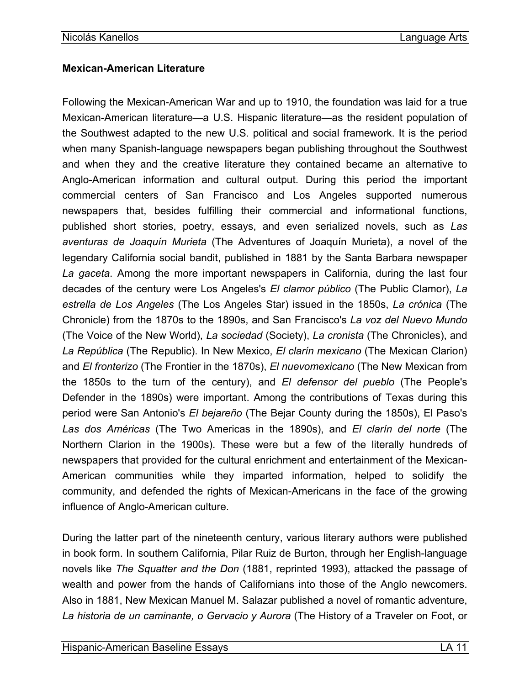#### <span id="page-12-0"></span>**Mexican-American Literature**

Following the Mexican-American War and up to 1910, the foundation was laid for a true Mexican-American literature—a U.S. Hispanic literature—as the resident population of the Southwest adapted to the new U.S. political and social framework. It is the period when many Spanish-language newspapers began publishing throughout the Southwest and when they and the creative literature they contained became an alternative to Anglo-American information and cultural output. During this period the important commercial centers of San Francisco and Los Angeles supported numerous newspapers that, besides fulfilling their commercial and informational functions, published short stories, poetry, essays, and even serialized novels, such as *Las aventuras de Joaquín Murieta* (The Adventures of Joaquín Murieta), a novel of the legendary California social bandit, published in 1881 by the Santa Barbara newspaper *La gaceta*. Among the more important newspapers in California, during the last four decades of the century were Los Angeles's *El clamor público* (The Public Clamor), *La estrella de Los Angeles* (The Los Angeles Star) issued in the 1850s, *La crónica* (The Chronicle) from the 1870s to the 1890s, and San Francisco's *La voz del Nuevo Mundo* (The Voice of the New World), *La sociedad* (Society), *La cronista* (The Chronicles), and *La República* (The Republic). In New Mexico, *El clarín mexicano* (The Mexican Clarion) and *El fronterizo* (The Frontier in the 1870s), *El nuevomexicano* (The New Mexican from the 1850s to the turn of the century), and *El defensor del pueblo* (The People's Defender in the 1890s) were important. Among the contributions of Texas during this period were San Antonio's *El bejareño* (The Bejar County during the 1850s), El Paso's *Las dos Américas* (The Two Americas in the 1890s), and *El clarín del norte* (The Northern Clarion in the 1900s). These were but a few of the literally hundreds of newspapers that provided for the cultural enrichment and entertainment of the Mexican-American communities while they imparted information, helped to solidify the community, and defended the rights of Mexican-Americans in the face of the growing influence of Anglo-American culture.

During the latter part of the nineteenth century, various literary authors were published in book form. In southern California, Pilar Ruiz de Burton, through her English-language novels like *The Squatter and the Don* (1881, reprinted 1993), attacked the passage of wealth and power from the hands of Californians into those of the Anglo newcomers. Also in 1881, New Mexican Manuel M. Salazar published a novel of romantic adventure, *La historia de un caminante, o Gervacio y Aurora* (The History of a Traveler on Foot, or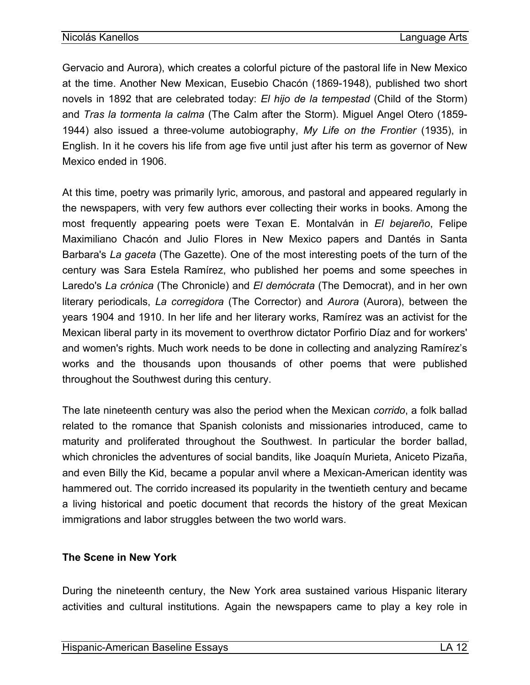<span id="page-13-0"></span>Gervacio and Aurora), which creates a colorful picture of the pastoral life in New Mexico at the time. Another New Mexican, Eusebio Chacón (1869-1948), published two short novels in 1892 that are celebrated today: *El hijo de la tempestad* (Child of the Storm) and *Tras la tormenta la calma* (The Calm after the Storm). Miguel Angel Otero (1859- 1944) also issued a three-volume autobiography, *My Life on the Frontier* (1935), in English. In it he covers his life from age five until just after his term as governor of New Mexico ended in 1906.

At this time, poetry was primarily lyric, amorous, and pastoral and appeared regularly in the newspapers, with very few authors ever collecting their works in books. Among the most frequently appearing poets were Texan E. Montalván in *El bejareño*, Felipe Maximiliano Chacón and Julio Flores in New Mexico papers and Dantés in Santa Barbara's *La gaceta* (The Gazette). One of the most interesting poets of the turn of the century was Sara Estela Ramírez, who published her poems and some speeches in Laredo's *La crónica* (The Chronicle) and *El demócrata* (The Democrat), and in her own literary periodicals, *La corregidora* (The Corrector) and *Aurora* (Aurora), between the years 1904 and 1910. In her life and her literary works, Ramírez was an activist for the Mexican liberal party in its movement to overthrow dictator Porfirio Díaz and for workers' and women's rights. Much work needs to be done in collecting and analyzing Ramírez's works and the thousands upon thousands of other poems that were published throughout the Southwest during this century.

The late nineteenth century was also the period when the Mexican *corrido*, a folk ballad related to the romance that Spanish colonists and missionaries introduced, came to maturity and proliferated throughout the Southwest. In particular the border ballad, which chronicles the adventures of social bandits, like Joaquín Murieta, Aniceto Pizaña, and even Billy the Kid, became a popular anvil where a Mexican-American identity was hammered out. The corrido increased its popularity in the twentieth century and became a living historical and poetic document that records the history of the great Mexican immigrations and labor struggles between the two world wars.

### **The Scene in New York**

During the nineteenth century, the New York area sustained various Hispanic literary activities and cultural institutions. Again the newspapers came to play a key role in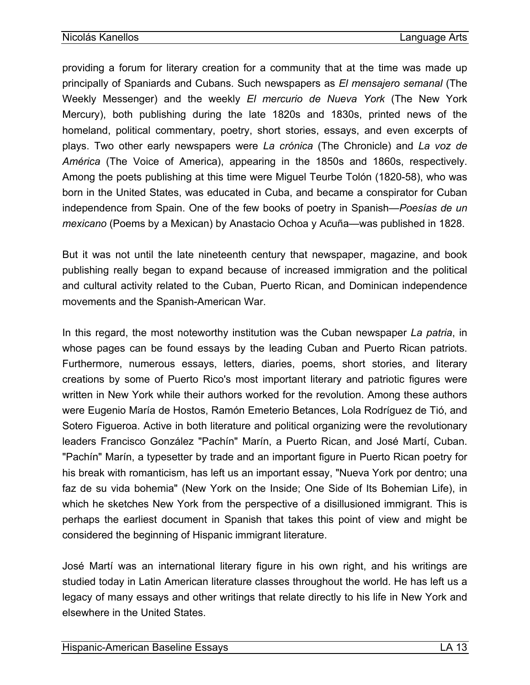providing a forum for literary creation for a community that at the time was made up principally of Spaniards and Cubans. Such newspapers as *El mensajero semanal* (The Weekly Messenger) and the weekly *El mercurio de Nueva York* (The New York Mercury), both publishing during the late 1820s and 1830s, printed news of the homeland, political commentary, poetry, short stories, essays, and even excerpts of plays. Two other early newspapers were *La crónica* (The Chronicle) and *La voz de América* (The Voice of America), appearing in the 1850s and 1860s, respectively. Among the poets publishing at this time were Miguel Teurbe Tolón (1820-58), who was born in the United States, was educated in Cuba, and became a conspirator for Cuban independence from Spain. One of the few books of poetry in Spanish—*Poesías de un mexicano* (Poems by a Mexican) by Anastacio Ochoa y Acuña—was published in 1828.

But it was not until the late nineteenth century that newspaper, magazine, and book publishing really began to expand because of increased immigration and the political and cultural activity related to the Cuban, Puerto Rican, and Dominican independence movements and the Spanish-American War.

In this regard, the most noteworthy institution was the Cuban newspaper *La patria*, in whose pages can be found essays by the leading Cuban and Puerto Rican patriots. Furthermore, numerous essays, letters, diaries, poems, short stories, and literary creations by some of Puerto Rico's most important literary and patriotic figures were written in New York while their authors worked for the revolution. Among these authors were Eugenio María de Hostos, Ramón Emeterio Betances, Lola Rodríguez de Tió, and Sotero Figueroa. Active in both literature and political organizing were the revolutionary leaders Francisco González "Pachín" Marín, a Puerto Rican, and José Martí, Cuban. "Pachín" Marín, a typesetter by trade and an important figure in Puerto Rican poetry for his break with romanticism, has left us an important essay, "Nueva York por dentro; una faz de su vida bohemia" (New York on the Inside; One Side of Its Bohemian Life), in which he sketches New York from the perspective of a disillusioned immigrant. This is perhaps the earliest document in Spanish that takes this point of view and might be considered the beginning of Hispanic immigrant literature.

José Martí was an international literary figure in his own right, and his writings are studied today in Latin American literature classes throughout the world. He has left us a legacy of many essays and other writings that relate directly to his life in New York and elsewhere in the United States.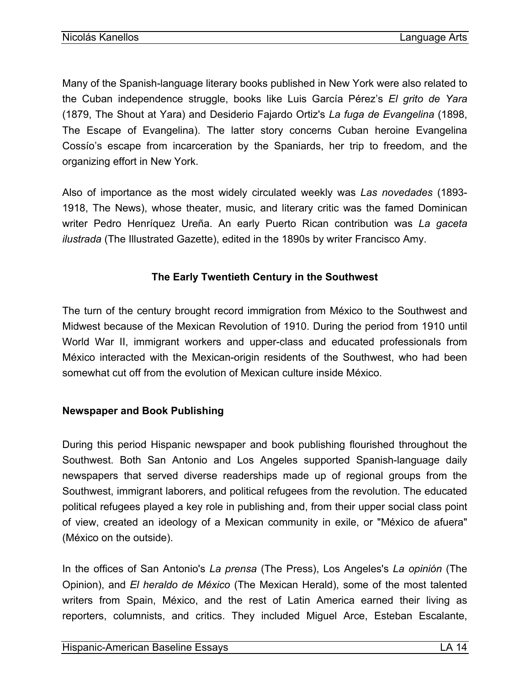<span id="page-15-0"></span>Many of the Spanish-language literary books published in New York were also related to the Cuban independence struggle, books like Luis García Pérez's *El grito de Yara* (1879, The Shout at Yara) and Desiderio Fajardo Ortiz's *La fuga de Evangelina* (1898, The Escape of Evangelina). The latter story concerns Cuban heroine Evangelina Cossío's escape from incarceration by the Spaniards, her trip to freedom, and the organizing effort in New York.

Also of importance as the most widely circulated weekly was *Las novedades* (1893- 1918, The News), whose theater, music, and literary critic was the famed Dominican writer Pedro Henríquez Ureña. An early Puerto Rican contribution was *La gaceta ilustrada* (The Illustrated Gazette), edited in the 1890s by writer Francisco Amy.

# **The Early Twentieth Century in the Southwest**

The turn of the century brought record immigration from México to the Southwest and Midwest because of the Mexican Revolution of 1910. During the period from 1910 until World War II, immigrant workers and upper-class and educated professionals from México interacted with the Mexican-origin residents of the Southwest, who had been somewhat cut off from the evolution of Mexican culture inside México.

### **Newspaper and Book Publishing**

During this period Hispanic newspaper and book publishing flourished throughout the Southwest. Both San Antonio and Los Angeles supported Spanish-language daily newspapers that served diverse readerships made up of regional groups from the Southwest, immigrant laborers, and political refugees from the revolution. The educated political refugees played a key role in publishing and, from their upper social class point of view, created an ideology of a Mexican community in exile, or "México de afuera" (México on the outside).

In the offices of San Antonio's *La prensa* (The Press), Los Angeles's *La opinión* (The Opinion), and *El heraldo de México* (The Mexican Herald), some of the most talented writers from Spain, México, and the rest of Latin America earned their living as reporters, columnists, and critics. They included Miguel Arce, Esteban Escalante,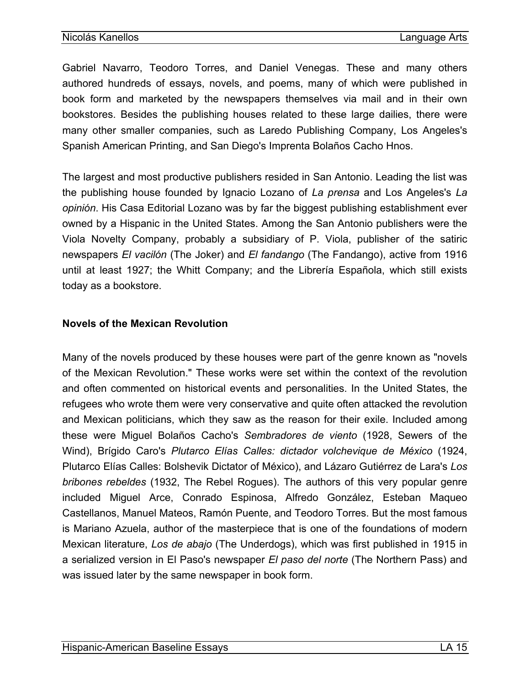<span id="page-16-0"></span>Gabriel Navarro, Teodoro Torres, and Daniel Venegas. These and many others authored hundreds of essays, novels, and poems, many of which were published in book form and marketed by the newspapers themselves via mail and in their own bookstores. Besides the publishing houses related to these large dailies, there were many other smaller companies, such as Laredo Publishing Company, Los Angeles's Spanish American Printing, and San Diego's Imprenta Bolaños Cacho Hnos.

The largest and most productive publishers resided in San Antonio. Leading the list was the publishing house founded by Ignacio Lozano of *La prensa* and Los Angeles's *La opinión*. His Casa Editorial Lozano was by far the biggest publishing establishment ever owned by a Hispanic in the United States. Among the San Antonio publishers were the Viola Novelty Company, probably a subsidiary of P. Viola, publisher of the satiric newspapers *El vacilón* (The Joker) and *El fandango* (The Fandango), active from 1916 until at least 1927; the Whitt Company; and the Librería Española, which still exists today as a bookstore.

### **Novels of the Mexican Revolution**

Many of the novels produced by these houses were part of the genre known as "novels of the Mexican Revolution." These works were set within the context of the revolution and often commented on historical events and personalities. In the United States, the refugees who wrote them were very conservative and quite often attacked the revolution and Mexican politicians, which they saw as the reason for their exile. Included among these were Miguel Bolaños Cacho's *Sembradores de viento* (1928, Sewers of the Wind), Brígido Caro's *Plutarco Elías Calles: dictador volchevique de México* (1924, Plutarco Elías Calles: Bolshevik Dictator of México), and Lázaro Gutiérrez de Lara's *Los bribones rebeldes* (1932, The Rebel Rogues). The authors of this very popular genre included Miguel Arce, Conrado Espinosa, Alfredo González, Esteban Maqueo Castellanos, Manuel Mateos, Ramón Puente, and Teodoro Torres. But the most famous is Mariano Azuela, author of the masterpiece that is one of the foundations of modern Mexican literature, *Los de abajo* (The Underdogs), which was first published in 1915 in a serialized version in El Paso's newspaper *El paso del norte* (The Northern Pass) and was issued later by the same newspaper in book form.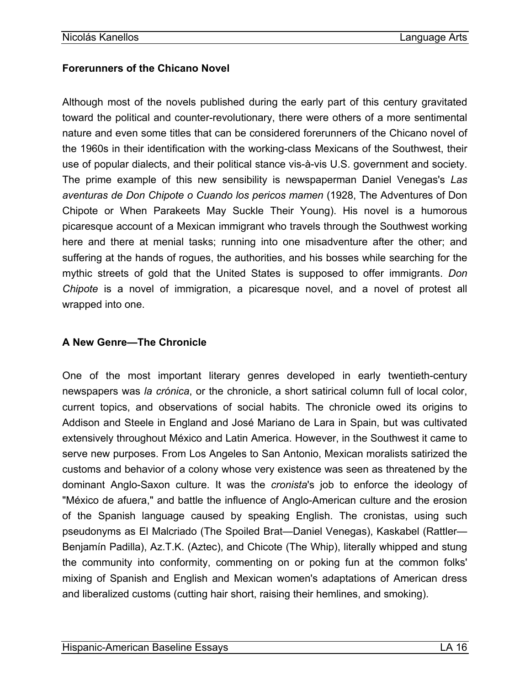# <span id="page-17-0"></span>**Forerunners of the Chicano Novel**

Although most of the novels published during the early part of this century gravitated toward the political and counter-revolutionary, there were others of a more sentimental nature and even some titles that can be considered forerunners of the Chicano novel of the 1960s in their identification with the working-class Mexicans of the Southwest, their use of popular dialects, and their political stance vis-à-vis U.S. government and society. The prime example of this new sensibility is newspaperman Daniel Venegas's *Las aventuras de Don Chipote o Cuando los pericos mamen* (1928, The Adventures of Don Chipote or When Parakeets May Suckle Their Young). His novel is a humorous picaresque account of a Mexican immigrant who travels through the Southwest working here and there at menial tasks; running into one misadventure after the other; and suffering at the hands of rogues, the authorities, and his bosses while searching for the mythic streets of gold that the United States is supposed to offer immigrants. *Don Chipote* is a novel of immigration, a picaresque novel, and a novel of protest all wrapped into one.

# **A New Genre—The Chronicle**

One of the most important literary genres developed in early twentieth-century newspapers was *la crónica*, or the chronicle, a short satirical column full of local color, current topics, and observations of social habits. The chronicle owed its origins to Addison and Steele in England and José Mariano de Lara in Spain, but was cultivated extensively throughout México and Latin America. However, in the Southwest it came to serve new purposes. From Los Angeles to San Antonio, Mexican moralists satirized the customs and behavior of a colony whose very existence was seen as threatened by the dominant Anglo-Saxon culture. It was the *cronista*'s job to enforce the ideology of "México de afuera," and battle the influence of Anglo-American culture and the erosion of the Spanish language caused by speaking English. The cronistas, using such pseudonyms as El Malcriado (The Spoiled Brat—Daniel Venegas), Kaskabel (Rattler— Benjamín Padilla), Az.T.K. (Aztec), and Chicote (The Whip), literally whipped and stung the community into conformity, commenting on or poking fun at the common folks' mixing of Spanish and English and Mexican women's adaptations of American dress and liberalized customs (cutting hair short, raising their hemlines, and smoking).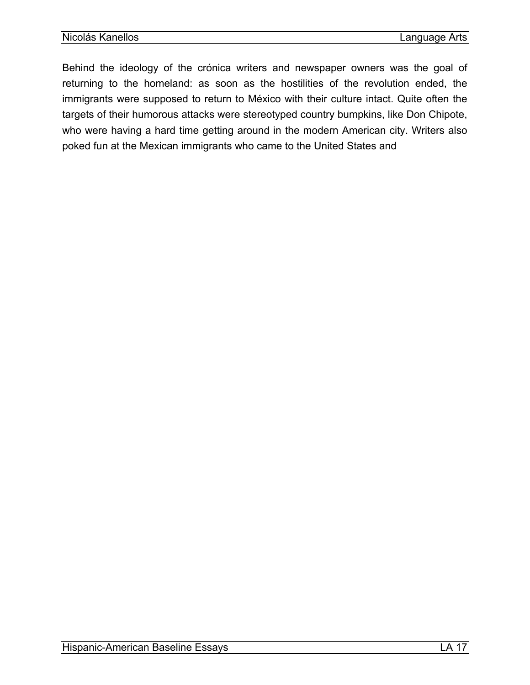Behind the ideology of the crónica writers and newspaper owners was the goal of returning to the homeland: as soon as the hostilities of the revolution ended, the immigrants were supposed to return to México with their culture intact. Quite often the targets of their humorous attacks were stereotyped country bumpkins, like Don Chipote, who were having a hard time getting around in the modern American city. Writers also poked fun at the Mexican immigrants who came to the United States and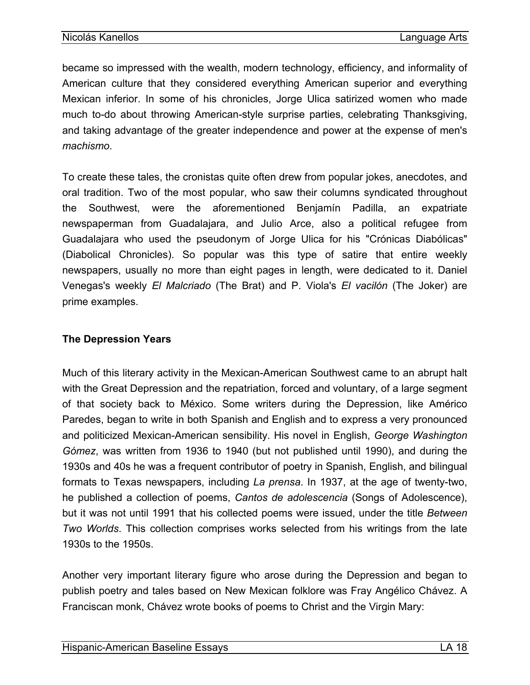<span id="page-19-0"></span>became so impressed with the wealth, modern technology, efficiency, and informality of American culture that they considered everything American superior and everything Mexican inferior. In some of his chronicles, Jorge Ulica satirized women who made much to-do about throwing American-style surprise parties, celebrating Thanksgiving, and taking advantage of the greater independence and power at the expense of men's *machismo*.

To create these tales, the cronistas quite often drew from popular jokes, anecdotes, and oral tradition. Two of the most popular, who saw their columns syndicated throughout the Southwest, were the aforementioned Benjamín Padilla, an expatriate newspaperman from Guadalajara, and Julio Arce, also a political refugee from Guadalajara who used the pseudonym of Jorge Ulica for his "Crónicas Diabólicas" (Diabolical Chronicles). So popular was this type of satire that entire weekly newspapers, usually no more than eight pages in length, were dedicated to it. Daniel Venegas's weekly *El Malcriado* (The Brat) and P. Viola's *El vacilón* (The Joker) are prime examples.

# **The Depression Years**

Much of this literary activity in the Mexican-American Southwest came to an abrupt halt with the Great Depression and the repatriation, forced and voluntary, of a large segment of that society back to México. Some writers during the Depression, like Américo Paredes, began to write in both Spanish and English and to express a very pronounced and politicized Mexican-American sensibility. His novel in English, *George Washington Gómez*, was written from 1936 to 1940 (but not published until 1990), and during the 1930s and 40s he was a frequent contributor of poetry in Spanish, English, and bilingual formats to Texas newspapers, including *La prensa*. In 1937, at the age of twenty-two, he published a collection of poems, *Cantos de adolescencia* (Songs of Adolescence), but it was not until 1991 that his collected poems were issued, under the title *Between Two Worlds*. This collection comprises works selected from his writings from the late 1930s to the 1950s.

Another very important literary figure who arose during the Depression and began to publish poetry and tales based on New Mexican folklore was Fray Angélico Chávez. A Franciscan monk, Chávez wrote books of poems to Christ and the Virgin Mary: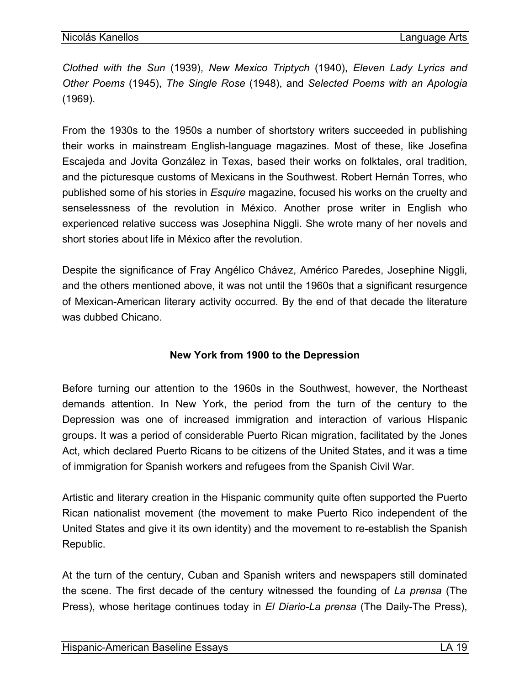<span id="page-20-0"></span>*Clothed with the Sun* (1939), *New Mexico Triptych* (1940), *Eleven Lady Lyrics and Other Poems* (1945), *The Single Rose* (1948), and *Selected Poems with an Apologia* (1969).

From the 1930s to the 1950s a number of shortstory writers succeeded in publishing their works in mainstream English-language magazines. Most of these, like Josefina Escajeda and Jovita González in Texas, based their works on folktales, oral tradition, and the picturesque customs of Mexicans in the Southwest. Robert Hernán Torres, who published some of his stories in *Esquire* magazine, focused his works on the cruelty and senselessness of the revolution in México. Another prose writer in English who experienced relative success was Josephina Niggli. She wrote many of her novels and short stories about life in México after the revolution.

Despite the significance of Fray Angélico Chávez, Américo Paredes, Josephine Niggli, and the others mentioned above, it was not until the 1960s that a significant resurgence of Mexican-American literary activity occurred. By the end of that decade the literature was dubbed Chicano.

### **New York from 1900 to the Depression**

Before turning our attention to the 1960s in the Southwest, however, the Northeast demands attention. In New York, the period from the turn of the century to the Depression was one of increased immigration and interaction of various Hispanic groups. It was a period of considerable Puerto Rican migration, facilitated by the Jones Act, which declared Puerto Ricans to be citizens of the United States, and it was a time of immigration for Spanish workers and refugees from the Spanish Civil War.

Artistic and literary creation in the Hispanic community quite often supported the Puerto Rican nationalist movement (the movement to make Puerto Rico independent of the United States and give it its own identity) and the movement to re-establish the Spanish Republic.

At the turn of the century, Cuban and Spanish writers and newspapers still dominated the scene. The first decade of the century witnessed the founding of *La prensa* (The Press), whose heritage continues today in *El Diario-La prensa* (The Daily-The Press),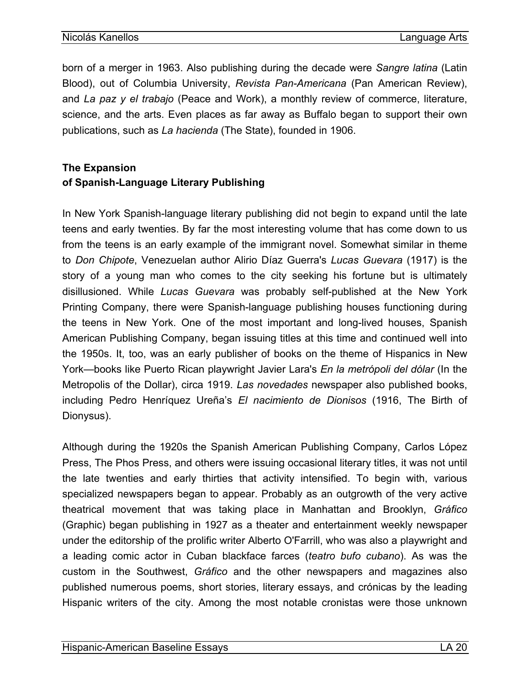<span id="page-21-0"></span>born of a merger in 1963. Also publishing during the decade were *Sangre latina* (Latin Blood), out of Columbia University, *Revista Pan-Americana* (Pan American Review), and *La paz y el trabajo* (Peace and Work), a monthly review of commerce, literature, science, and the arts. Even places as far away as Buffalo began to support their own publications, such as *La hacienda* (The State), founded in 1906.

# **The Expansion of Spanish-Language Literary Publishing**

In New York Spanish-language literary publishing did not begin to expand until the late teens and early twenties. By far the most interesting volume that has come down to us from the teens is an early example of the immigrant novel. Somewhat similar in theme to *Don Chipote*, Venezuelan author Alirio Díaz Guerra's *Lucas Guevara* (1917) is the story of a young man who comes to the city seeking his fortune but is ultimately disillusioned. While *Lucas Guevara* was probably self-published at the New York Printing Company, there were Spanish-language publishing houses functioning during the teens in New York. One of the most important and long-lived houses, Spanish American Publishing Company, began issuing titles at this time and continued well into the 1950s. It, too, was an early publisher of books on the theme of Hispanics in New York—books like Puerto Rican playwright Javier Lara's *En la metrópoli del dólar* (In the Metropolis of the Dollar), circa 1919. *Las novedades* newspaper also published books, including Pedro Henríquez Ureña's *El nacimiento de Dionisos* (1916, The Birth of Dionysus).

Although during the 1920s the Spanish American Publishing Company, Carlos López Press, The Phos Press, and others were issuing occasional literary titles, it was not until the late twenties and early thirties that activity intensified. To begin with, various specialized newspapers began to appear. Probably as an outgrowth of the very active theatrical movement that was taking place in Manhattan and Brooklyn, *Gráfico* (Graphic) began publishing in 1927 as a theater and entertainment weekly newspaper under the editorship of the prolific writer Alberto O'Farrill, who was also a playwright and a leading comic actor in Cuban blackface farces (*teatro bufo cubano*). As was the custom in the Southwest, *Gráfico* and the other newspapers and magazines also published numerous poems, short stories, literary essays, and crónicas by the leading Hispanic writers of the city. Among the most notable cronistas were those unknown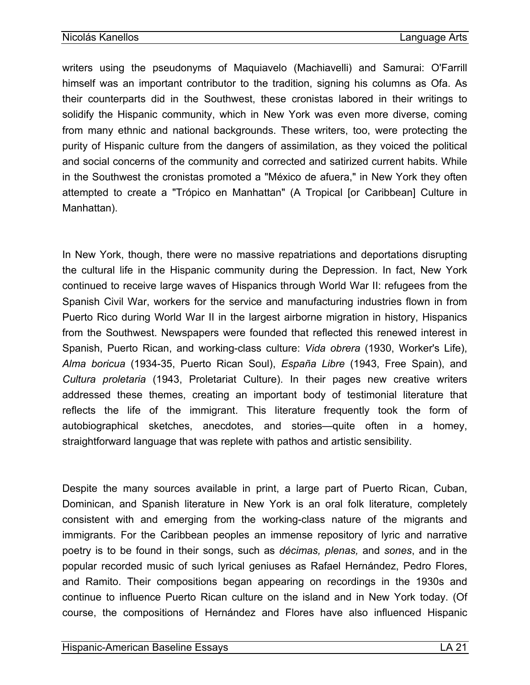writers using the pseudonyms of Maquiavelo (Machiavelli) and Samurai: O'Farrill himself was an important contributor to the tradition, signing his columns as Ofa. As their counterparts did in the Southwest, these cronistas labored in their writings to solidify the Hispanic community, which in New York was even more diverse, coming from many ethnic and national backgrounds. These writers, too, were protecting the purity of Hispanic culture from the dangers of assimilation, as they voiced the political and social concerns of the community and corrected and satirized current habits. While in the Southwest the cronistas promoted a "México de afuera," in New York they often attempted to create a "Trópico en Manhattan" (A Tropical [or Caribbean] Culture in Manhattan).

In New York, though, there were no massive repatriations and deportations disrupting the cultural life in the Hispanic community during the Depression. In fact, New York continued to receive large waves of Hispanics through World War II: refugees from the Spanish Civil War, workers for the service and manufacturing industries flown in from Puerto Rico during World War II in the largest airborne migration in history, Hispanics from the Southwest. Newspapers were founded that reflected this renewed interest in Spanish, Puerto Rican, and working-class culture: *Vida obrera* (1930, Worker's Life), *Alma boricua* (1934-35, Puerto Rican Soul), *España Libre* (1943, Free Spain), and *Cultura proletaria* (1943, Proletariat Culture). In their pages new creative writers addressed these themes, creating an important body of testimonial literature that reflects the life of the immigrant. This literature frequently took the form of autobiographical sketches, anecdotes, and stories—quite often in a homey, straightforward language that was replete with pathos and artistic sensibility.

Despite the many sources available in print, a large part of Puerto Rican, Cuban, Dominican, and Spanish literature in New York is an oral folk literature, completely consistent with and emerging from the working-class nature of the migrants and immigrants. For the Caribbean peoples an immense repository of lyric and narrative poetry is to be found in their songs, such as *décimas, plenas,* and *sones*, and in the popular recorded music of such lyrical geniuses as Rafael Hernández, Pedro Flores, and Ramito. Their compositions began appearing on recordings in the 1930s and continue to influence Puerto Rican culture on the island and in New York today. (Of course, the compositions of Hernández and Flores have also influenced Hispanic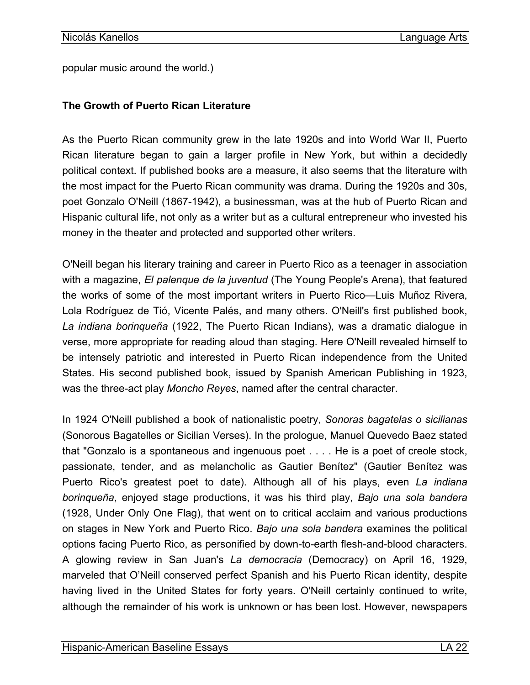<span id="page-23-0"></span>popular music around the world.)

#### **The Growth of Puerto Rican Literature**

As the Puerto Rican community grew in the late 1920s and into World War II, Puerto Rican literature began to gain a larger profile in New York, but within a decidedly political context. If published books are a measure, it also seems that the literature with the most impact for the Puerto Rican community was drama. During the 1920s and 30s, poet Gonzalo O'Neill (1867-1942), a businessman, was at the hub of Puerto Rican and Hispanic cultural life, not only as a writer but as a cultural entrepreneur who invested his money in the theater and protected and supported other writers.

O'Neill began his literary training and career in Puerto Rico as a teenager in association with a magazine, *El palenque de la juventud* (The Young People's Arena), that featured the works of some of the most important writers in Puerto Rico—Luis Muñoz Rivera, Lola Rodríguez de Tió, Vicente Palés, and many others. O'Neill's first published book, *La indiana borinqueña* (1922, The Puerto Rican Indians), was a dramatic dialogue in verse, more appropriate for reading aloud than staging. Here O'Neill revealed himself to be intensely patriotic and interested in Puerto Rican independence from the United States. His second published book, issued by Spanish American Publishing in 1923, was the three-act play *Moncho Reyes*, named after the central character.

In 1924 O'Neill published a book of nationalistic poetry, *Sonoras bagatelas o sicilianas* (Sonorous Bagatelles or Sicilian Verses). In the prologue, Manuel Quevedo Baez stated that "Gonzalo is a spontaneous and ingenuous poet . . . . He is a poet of creole stock, passionate, tender, and as melancholic as Gautier Benítez" (Gautier Benítez was Puerto Rico's greatest poet to date). Although all of his plays, even *La indiana borinqueña*, enjoyed stage productions, it was his third play, *Bajo una sola bandera* (1928, Under Only One Flag), that went on to critical acclaim and various productions on stages in New York and Puerto Rico. *Bajo una sola bandera* examines the political options facing Puerto Rico, as personified by down-to-earth flesh-and-blood characters. A glowing review in San Juan's *La democracia* (Democracy) on April 16, 1929, marveled that O'Neill conserved perfect Spanish and his Puerto Rican identity, despite having lived in the United States for forty years. O'Neill certainly continued to write, although the remainder of his work is unknown or has been lost. However, newspapers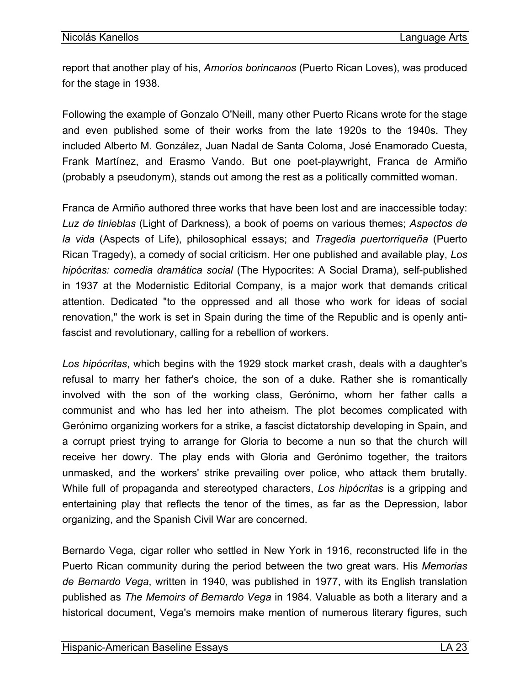report that another play of his, *Amoríos borincanos* (Puerto Rican Loves), was produced for the stage in 1938.

Following the example of Gonzalo O'Neill, many other Puerto Ricans wrote for the stage and even published some of their works from the late 1920s to the 1940s. They included Alberto M. González, Juan Nadal de Santa Coloma, José Enamorado Cuesta, Frank Martínez, and Erasmo Vando. But one poet-playwright, Franca de Armiño (probably a pseudonym), stands out among the rest as a politically committed woman.

Franca de Armiño authored three works that have been lost and are inaccessible today: *Luz de tinieblas* (Light of Darkness), a book of poems on various themes; *Aspectos de la vida* (Aspects of Life), philosophical essays; and *Tragedia puertorriqueña* (Puerto Rican Tragedy), a comedy of social criticism. Her one published and available play, *Los hipócritas: comedia dramática social* (The Hypocrites: A Social Drama), self-published in 1937 at the Modernistic Editorial Company, is a major work that demands critical attention. Dedicated "to the oppressed and all those who work for ideas of social renovation," the work is set in Spain during the time of the Republic and is openly antifascist and revolutionary, calling for a rebellion of workers.

*Los hipócritas*, which begins with the 1929 stock market crash, deals with a daughter's refusal to marry her father's choice, the son of a duke. Rather she is romantically involved with the son of the working class, Gerónimo, whom her father calls a communist and who has led her into atheism. The plot becomes complicated with Gerónimo organizing workers for a strike, a fascist dictatorship developing in Spain, and a corrupt priest trying to arrange for Gloria to become a nun so that the church will receive her dowry. The play ends with Gloria and Gerónimo together, the traitors unmasked, and the workers' strike prevailing over police, who attack them brutally. While full of propaganda and stereotyped characters, *Los hipócritas* is a gripping and entertaining play that reflects the tenor of the times, as far as the Depression, labor organizing, and the Spanish Civil War are concerned.

Bernardo Vega, cigar roller who settled in New York in 1916, reconstructed life in the Puerto Rican community during the period between the two great wars. His *Memorias de Bernardo Vega*, written in 1940, was published in 1977, with its English translation published as *The Memoirs of Bernardo Vega* in 1984. Valuable as both a literary and a historical document, Vega's memoirs make mention of numerous literary figures, such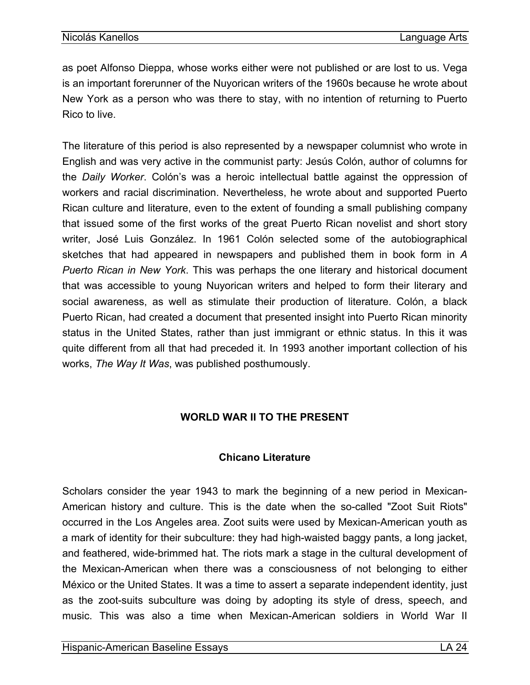<span id="page-25-0"></span>as poet Alfonso Dieppa, whose works either were not published or are lost to us. Vega is an important forerunner of the Nuyorican writers of the 1960s because he wrote about New York as a person who was there to stay, with no intention of returning to Puerto Rico to live.

The literature of this period is also represented by a newspaper columnist who wrote in English and was very active in the communist party: Jesús Colón, author of columns for the *Daily Worker*. Colón's was a heroic intellectual battle against the oppression of workers and racial discrimination. Nevertheless, he wrote about and supported Puerto Rican culture and literature, even to the extent of founding a small publishing company that issued some of the first works of the great Puerto Rican novelist and short story writer, José Luis González. In 1961 Colón selected some of the autobiographical sketches that had appeared in newspapers and published them in book form in *A Puerto Rican in New York*. This was perhaps the one literary and historical document that was accessible to young Nuyorican writers and helped to form their literary and social awareness, as well as stimulate their production of literature. Colón, a black Puerto Rican, had created a document that presented insight into Puerto Rican minority status in the United States, rather than just immigrant or ethnic status. In this it was quite different from all that had preceded it. In 1993 another important collection of his works, *The Way It Was*, was published posthumously.

# **WORLD WAR II TO THE PRESENT**

### **Chicano Literature**

Scholars consider the year 1943 to mark the beginning of a new period in Mexican-American history and culture. This is the date when the so-called "Zoot Suit Riots" occurred in the Los Angeles area. Zoot suits were used by Mexican-American youth as a mark of identity for their subculture: they had high-waisted baggy pants, a long jacket, and feathered, wide-brimmed hat. The riots mark a stage in the cultural development of the Mexican-American when there was a consciousness of not belonging to either México or the United States. It was a time to assert a separate independent identity, just as the zoot-suits subculture was doing by adopting its style of dress, speech, and music. This was also a time when Mexican-American soldiers in World War II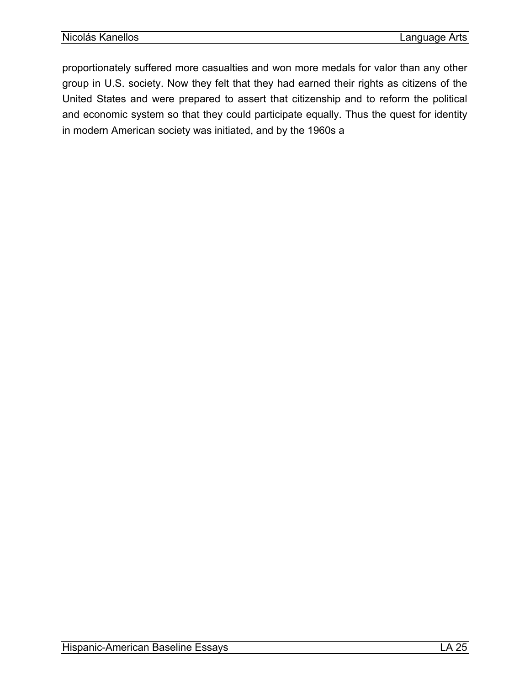proportionately suffered more casualties and won more medals for valor than any other group in U.S. society. Now they felt that they had earned their rights as citizens of the United States and were prepared to assert that citizenship and to reform the political and economic system so that they could participate equally. Thus the quest for identity in modern American society was initiated, and by the 1960s a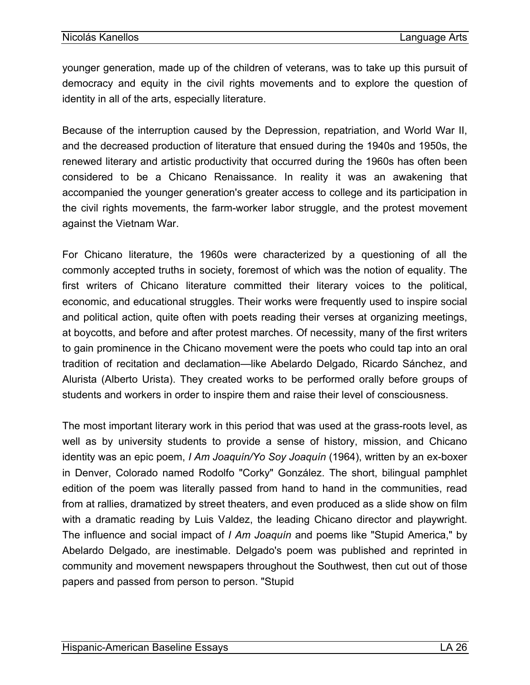younger generation, made up of the children of veterans, was to take up this pursuit of democracy and equity in the civil rights movements and to explore the question of identity in all of the arts, especially literature.

Because of the interruption caused by the Depression, repatriation, and World War II, and the decreased production of literature that ensued during the 1940s and 1950s, the renewed literary and artistic productivity that occurred during the 1960s has often been considered to be a Chicano Renaissance. In reality it was an awakening that accompanied the younger generation's greater access to college and its participation in the civil rights movements, the farm-worker labor struggle, and the protest movement against the Vietnam War.

For Chicano literature, the 1960s were characterized by a questioning of all the commonly accepted truths in society, foremost of which was the notion of equality. The first writers of Chicano literature committed their literary voices to the political, economic, and educational struggles. Their works were frequently used to inspire social and political action, quite often with poets reading their verses at organizing meetings, at boycotts, and before and after protest marches. Of necessity, many of the first writers to gain prominence in the Chicano movement were the poets who could tap into an oral tradition of recitation and declamation—like Abelardo Delgado, Ricardo Sánchez, and Alurista (Alberto Urista). They created works to be performed orally before groups of students and workers in order to inspire them and raise their level of consciousness.

The most important literary work in this period that was used at the grass-roots level, as well as by university students to provide a sense of history, mission, and Chicano identity was an epic poem, *I Am Joaquín/Yo Soy Joaquín* (1964), written by an ex-boxer in Denver, Colorado named Rodolfo "Corky" González. The short, bilingual pamphlet edition of the poem was literally passed from hand to hand in the communities, read from at rallies, dramatized by street theaters, and even produced as a slide show on film with a dramatic reading by Luis Valdez, the leading Chicano director and playwright. The influence and social impact of *I Am Joaquín* and poems like "Stupid America," by Abelardo Delgado, are inestimable. Delgado's poem was published and reprinted in community and movement newspapers throughout the Southwest, then cut out of those papers and passed from person to person. "Stupid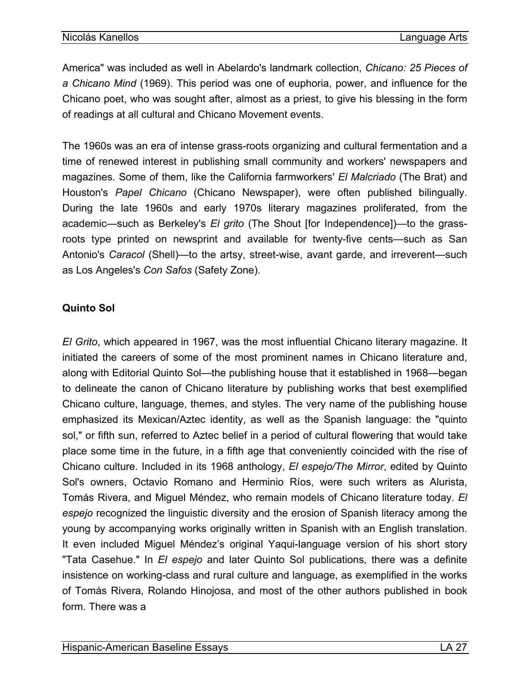<span id="page-28-0"></span>America" was included as well in Abelardo's landmark collection, *Chicano: 25 Pieces of a Chicano Mind* (1969). This period was one of euphoria, power, and influence for the Chicano poet, who was sought after, almost as a priest, to give his blessing in the form of readings at all cultural and Chicano Movement events.

The 1960s was an era of intense grass-roots organizing and cultural fermentation and a time of renewed interest in publishing small community and workers' newspapers and magazines. Some of them, like the California farmworkers' *El Malcriado* (The Brat) and Houston's *Papel Chicano* (Chicano Newspaper), were often published bilingually. During the late 1960s and early 1970s literary magazines proliferated, from the academic—such as Berkeley's *El grito* (The Shout [for Independence])—to the grassroots type printed on newsprint and available for twenty-five cents—such as San Antonio's *Caracol* (Shell)—to the artsy, street-wise, avant garde, and irreverent—such as Los Angeles's *Con Safos* (Safety Zone).

# **Quinto Sol**

*El Grito*, which appeared in 1967, was the most influential Chicano literary magazine. It initiated the careers of some of the most prominent names in Chicano literature and, along with Editorial Quinto Sol—the publishing house that it established in 1968—began to delineate the canon of Chicano literature by publishing works that best exemplified Chicano culture, language, themes, and styles. The very name of the publishing house emphasized its Mexican/Aztec identity, as well as the Spanish language: the "quinto sol," or fifth sun, referred to Aztec belief in a period of cultural flowering that would take place some time in the future, in a fifth age that conveniently coincided with the rise of Chicano culture. Included in its 1968 anthology, *El espejo/The Mirror*, edited by Quinto Sol's owners, Octavio Romano and Herminio Ríos, were such writers as Alurista, Tomás Rivera, and Miguel Méndez, who remain models of Chicano literature today. *El espejo* recognized the linguistic diversity and the erosion of Spanish literacy among the young by accompanying works originally written in Spanish with an English translation. It even included Miguel Méndez's original Yaqui-language version of his short story "Tata Casehue." In *El espejo* and later Quinto Sol publications, there was a definite insistence on working-class and rural culture and language, as exemplified in the works of Tomás Rivera, Rolando Hinojosa, and most of the other authors published in book form. There was a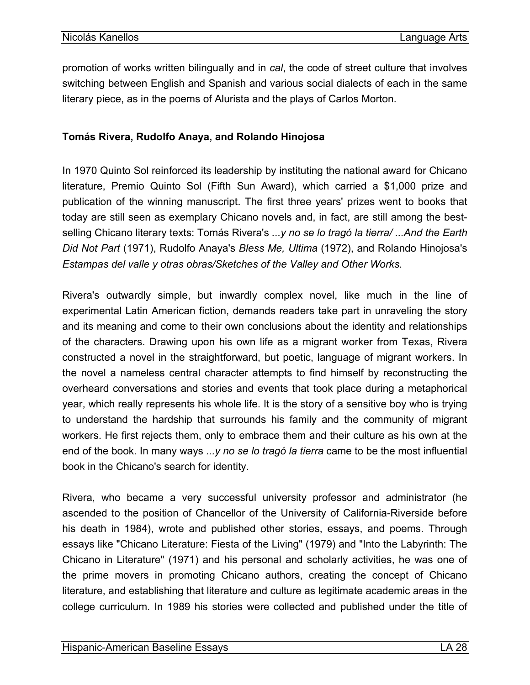<span id="page-29-0"></span>promotion of works written bilingually and in *cal*, the code of street culture that involves switching between English and Spanish and various social dialects of each in the same literary piece, as in the poems of Alurista and the plays of Carlos Morton.

### **Tomás Rivera, Rudolfo Anaya, and Rolando Hinojosa**

In 1970 Quinto Sol reinforced its leadership by instituting the national award for Chicano literature, Premio Quinto Sol (Fifth Sun Award), which carried a \$1,000 prize and publication of the winning manuscript. The first three years' prizes went to books that today are still seen as exemplary Chicano novels and, in fact, are still among the bestselling Chicano literary texts: Tomás Rivera's *...y no se lo tragó la tierra/ ...And the Earth Did Not Part* (1971), Rudolfo Anaya's *Bless Me, Ultima* (1972), and Rolando Hinojosa's *Estampas del valle y otras obras/Sketches of the Valley and Other Works*.

Rivera's outwardly simple, but inwardly complex novel, like much in the line of experimental Latin American fiction, demands readers take part in unraveling the story and its meaning and come to their own conclusions about the identity and relationships of the characters. Drawing upon his own life as a migrant worker from Texas, Rivera constructed a novel in the straightforward, but poetic, language of migrant workers. In the novel a nameless central character attempts to find himself by reconstructing the overheard conversations and stories and events that took place during a metaphorical year, which really represents his whole life. It is the story of a sensitive boy who is trying to understand the hardship that surrounds his family and the community of migrant workers. He first rejects them, only to embrace them and their culture as his own at the end of the book. In many ways *...y no se lo tragó la tierra* came to be the most influential book in the Chicano's search for identity.

Rivera, who became a very successful university professor and administrator (he ascended to the position of Chancellor of the University of California-Riverside before his death in 1984), wrote and published other stories, essays, and poems. Through essays like "Chicano Literature: Fiesta of the Living" (1979) and "Into the Labyrinth: The Chicano in Literature" (1971) and his personal and scholarly activities, he was one of the prime movers in promoting Chicano authors, creating the concept of Chicano literature, and establishing that literature and culture as legitimate academic areas in the college curriculum. In 1989 his stories were collected and published under the title of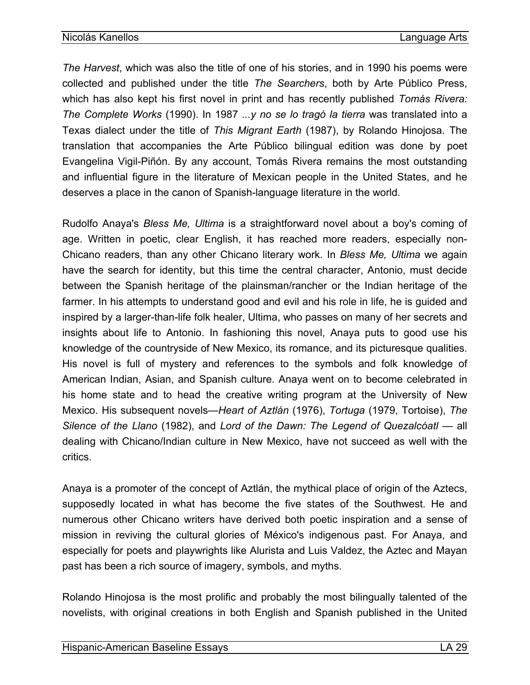*The Harvest*, which was also the title of one of his stories, and in 1990 his poems were collected and published under the title *The Searchers*, both by Arte Público Press, which has also kept his first novel in print and has recently published *Tomás Rivera: The Complete Works* (1990). In 1987 *...y no se lo tragó la tierra* was translated into a Texas dialect under the title of *This Migrant Earth* (1987), by Rolando Hinojosa. The translation that accompanies the Arte Público bilingual edition was done by poet Evangelina Vigil-Piñón. By any account, Tomás Rivera remains the most outstanding and influential figure in the literature of Mexican people in the United States, and he deserves a place in the canon of Spanish-language literature in the world.

Rudolfo Anaya's *Bless Me, Ultima* is a straightforward novel about a boy's coming of age. Written in poetic, clear English, it has reached more readers, especially non-Chicano readers, than any other Chicano literary work. In *Bless Me, Ultima* we again have the search for identity, but this time the central character, Antonio, must decide between the Spanish heritage of the plainsman/rancher or the Indian heritage of the farmer. In his attempts to understand good and evil and his role in life, he is guided and inspired by a larger-than-life folk healer, Ultima, who passes on many of her secrets and insights about life to Antonio. In fashioning this novel, Anaya puts to good use his knowledge of the countryside of New Mexico, its romance, and its picturesque qualities. His novel is full of mystery and references to the symbols and folk knowledge of American Indian, Asian, and Spanish culture. Anaya went on to become celebrated in his home state and to head the creative writing program at the University of New Mexico. His subsequent novels—*Heart of Aztlán* (1976), *Tortuga* (1979, Tortoise), *The Silence of the Llano* (1982), and *Lord of the Dawn: The Legend of Quezalcóatl — all* dealing with Chicano/Indian culture in New Mexico, have not succeed as well with the critics.

Anaya is a promoter of the concept of Aztlán, the mythical place of origin of the Aztecs, supposedly located in what has become the five states of the Southwest. He and numerous other Chicano writers have derived both poetic inspiration and a sense of mission in reviving the cultural glories of México's indigenous past. For Anaya, and especially for poets and playwrights like Alurista and Luis Valdez, the Aztec and Mayan past has been a rich source of imagery, symbols, and myths.

Rolando Hinojosa is the most prolific and probably the most bilingually talented of the novelists, with original creations in both English and Spanish published in the United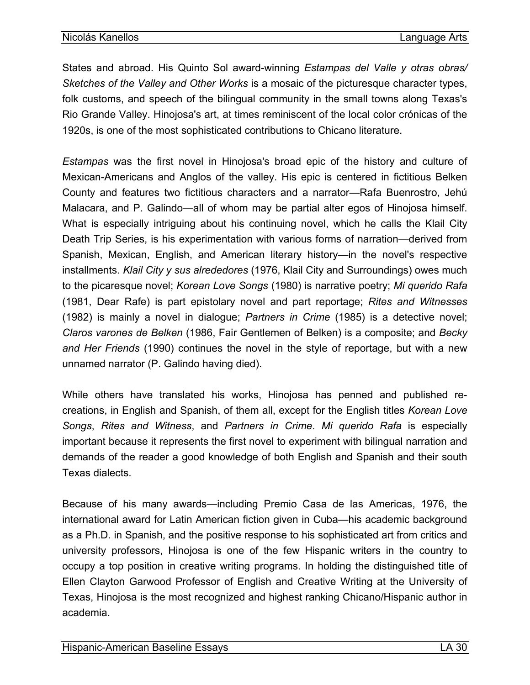States and abroad. His Quinto Sol award-winning *Estampas del Valle y otras obras/ Sketches of the Valley and Other Works* is a mosaic of the picturesque character types, folk customs, and speech of the bilingual community in the small towns along Texas's Rio Grande Valley. Hinojosa's art, at times reminiscent of the local color crónicas of the 1920s, is one of the most sophisticated contributions to Chicano literature.

*Estampas* was the first novel in Hinojosa's broad epic of the history and culture of Mexican-Americans and Anglos of the valley. His epic is centered in fictitious Belken County and features two fictitious characters and a narrator—Rafa Buenrostro, Jehú Malacara, and P. Galindo—all of whom may be partial alter egos of Hinojosa himself. What is especially intriguing about his continuing novel, which he calls the Klail City Death Trip Series, is his experimentation with various forms of narration—derived from Spanish, Mexican, English, and American literary history—in the novel's respective installments. *Klail City y sus alrededores* (1976, Klail City and Surroundings) owes much to the picaresque novel; *Korean Love Songs* (1980) is narrative poetry; *Mi querido Rafa* (1981, Dear Rafe) is part epistolary novel and part reportage; *Rites and Witnesses* (1982) is mainly a novel in dialogue; *Partners in Crime* (1985) is a detective novel; *Claros varones de Belken* (1986, Fair Gentlemen of Belken) is a composite; and *Becky and Her Friends* (1990) continues the novel in the style of reportage, but with a new unnamed narrator (P. Galindo having died).

While others have translated his works, Hinojosa has penned and published recreations, in English and Spanish, of them all, except for the English titles *Korean Love Songs*, *Rites and Witness*, and *Partners in Crime*. *Mi querido Rafa* is especially important because it represents the first novel to experiment with bilingual narration and demands of the reader a good knowledge of both English and Spanish and their south Texas dialects.

Because of his many awards—including Premio Casa de las Americas, 1976, the international award for Latin American fiction given in Cuba—his academic background as a Ph.D. in Spanish, and the positive response to his sophisticated art from critics and university professors, Hinojosa is one of the few Hispanic writers in the country to occupy a top position in creative writing programs. In holding the distinguished title of Ellen Clayton Garwood Professor of English and Creative Writing at the University of Texas, Hinojosa is the most recognized and highest ranking Chicano/Hispanic author in academia.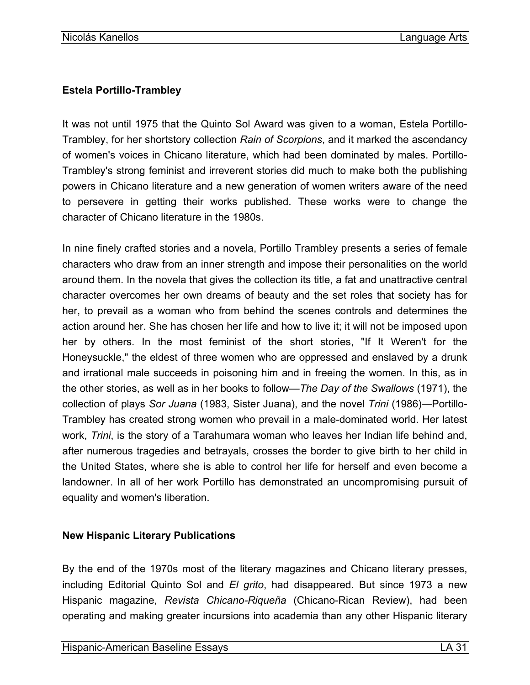# <span id="page-32-0"></span>**Estela Portillo-Trambley**

It was not until 1975 that the Quinto Sol Award was given to a woman, Estela Portillo-Trambley, for her shortstory collection *Rain of Scorpions*, and it marked the ascendancy of women's voices in Chicano literature, which had been dominated by males. Portillo-Trambley's strong feminist and irreverent stories did much to make both the publishing powers in Chicano literature and a new generation of women writers aware of the need to persevere in getting their works published. These works were to change the character of Chicano literature in the 1980s.

In nine finely crafted stories and a novela, Portillo Trambley presents a series of female characters who draw from an inner strength and impose their personalities on the world around them. In the novela that gives the collection its title, a fat and unattractive central character overcomes her own dreams of beauty and the set roles that society has for her, to prevail as a woman who from behind the scenes controls and determines the action around her. She has chosen her life and how to live it; it will not be imposed upon her by others. In the most feminist of the short stories, "If It Weren't for the Honeysuckle," the eldest of three women who are oppressed and enslaved by a drunk and irrational male succeeds in poisoning him and in freeing the women. In this, as in the other stories, as well as in her books to follow—*The Day of the Swallows* (1971), the collection of plays *Sor Juana* (1983, Sister Juana), and the novel *Trini* (1986)—Portillo-Trambley has created strong women who prevail in a male-dominated world. Her latest work, *Trini*, is the story of a Tarahumara woman who leaves her Indian life behind and, after numerous tragedies and betrayals, crosses the border to give birth to her child in the United States, where she is able to control her life for herself and even become a landowner. In all of her work Portillo has demonstrated an uncompromising pursuit of equality and women's liberation.

### **New Hispanic Literary Publications**

By the end of the 1970s most of the literary magazines and Chicano literary presses, including Editorial Quinto Sol and *El grito*, had disappeared. But since 1973 a new Hispanic magazine, *Revista Chicano-Riqueña* (Chicano-Rican Review), had been operating and making greater incursions into academia than any other Hispanic literary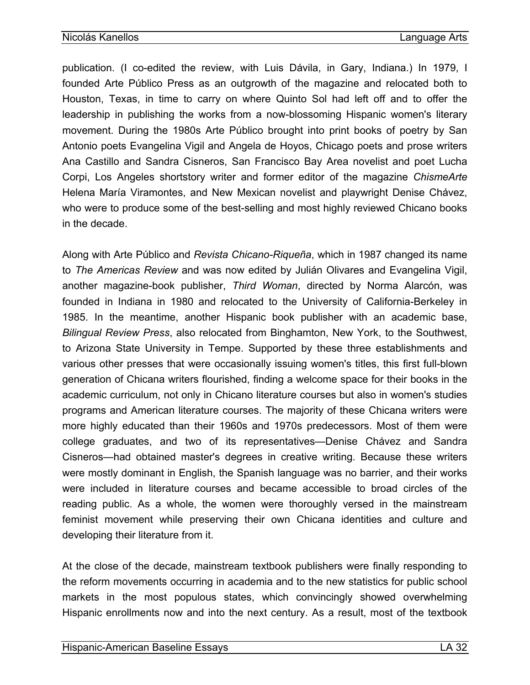publication. (I co-edited the review, with Luis Dávila, in Gary, Indiana.) In 1979, I founded Arte Público Press as an outgrowth of the magazine and relocated both to Houston, Texas, in time to carry on where Quinto Sol had left off and to offer the leadership in publishing the works from a now-blossoming Hispanic women's literary movement. During the 1980s Arte Público brought into print books of poetry by San Antonio poets Evangelina Vigil and Angela de Hoyos, Chicago poets and prose writers Ana Castillo and Sandra Cisneros, San Francisco Bay Area novelist and poet Lucha Corpi, Los Angeles shortstory writer and former editor of the magazine *ChismeArte* Helena María Viramontes, and New Mexican novelist and playwright Denise Chávez, who were to produce some of the best-selling and most highly reviewed Chicano books in the decade.

Along with Arte Público and *Revista Chicano-Riqueña*, which in 1987 changed its name to *The Americas Review* and was now edited by Julián Olivares and Evangelina Vigil, another magazine-book publisher, *Third Woman*, directed by Norma Alarcón, was founded in Indiana in 1980 and relocated to the University of California-Berkeley in 1985. In the meantime, another Hispanic book publisher with an academic base, *Bilingual Review Press*, also relocated from Binghamton, New York, to the Southwest, to Arizona State University in Tempe. Supported by these three establishments and various other presses that were occasionally issuing women's titles, this first full-blown generation of Chicana writers flourished, finding a welcome space for their books in the academic curriculum, not only in Chicano literature courses but also in women's studies programs and American literature courses. The majority of these Chicana writers were more highly educated than their 1960s and 1970s predecessors. Most of them were college graduates, and two of its representatives—Denise Chávez and Sandra Cisneros—had obtained master's degrees in creative writing. Because these writers were mostly dominant in English, the Spanish language was no barrier, and their works were included in literature courses and became accessible to broad circles of the reading public. As a whole, the women were thoroughly versed in the mainstream feminist movement while preserving their own Chicana identities and culture and developing their literature from it.

At the close of the decade, mainstream textbook publishers were finally responding to the reform movements occurring in academia and to the new statistics for public school markets in the most populous states, which convincingly showed overwhelming Hispanic enrollments now and into the next century. As a result, most of the textbook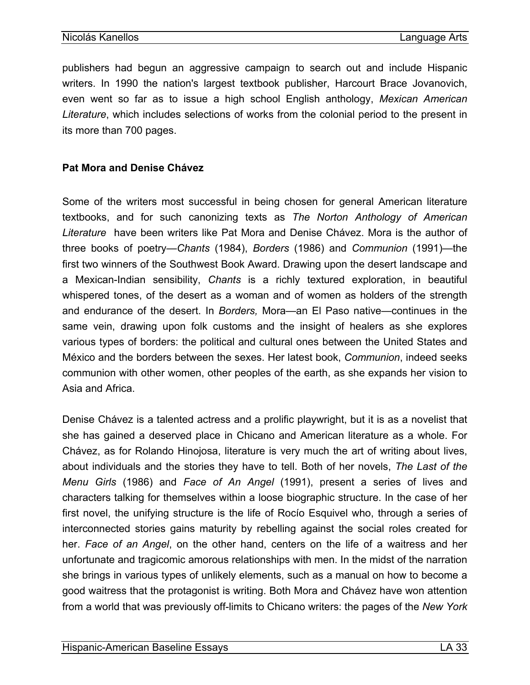<span id="page-34-0"></span>publishers had begun an aggressive campaign to search out and include Hispanic writers. In 1990 the nation's largest textbook publisher, Harcourt Brace Jovanovich, even went so far as to issue a high school English anthology, *Mexican American Literature*, which includes selections of works from the colonial period to the present in its more than 700 pages.

### **Pat Mora and Denise Chávez**

Some of the writers most successful in being chosen for general American literature textbooks, and for such canonizing texts as *The Norton Anthology of American Literature* have been writers like Pat Mora and Denise Chávez. Mora is the author of three books of poetry—*Chants* (1984), *Borders* (1986) and *Communion* (1991)—the first two winners of the Southwest Book Award. Drawing upon the desert landscape and a Mexican-Indian sensibility, *Chants* is a richly textured exploration, in beautiful whispered tones, of the desert as a woman and of women as holders of the strength and endurance of the desert. In *Borders,* Mora—an El Paso native—continues in the same vein, drawing upon folk customs and the insight of healers as she explores various types of borders: the political and cultural ones between the United States and México and the borders between the sexes. Her latest book, *Communion*, indeed seeks communion with other women, other peoples of the earth, as she expands her vision to Asia and Africa.

Denise Chávez is a talented actress and a prolific playwright, but it is as a novelist that she has gained a deserved place in Chicano and American literature as a whole. For Chávez, as for Rolando Hinojosa, literature is very much the art of writing about lives, about individuals and the stories they have to tell. Both of her novels, *The Last of the Menu Girls* (1986) and *Face of An Angel* (1991), present a series of lives and characters talking for themselves within a loose biographic structure. In the case of her first novel, the unifying structure is the life of Rocío Esquivel who, through a series of interconnected stories gains maturity by rebelling against the social roles created for her. *Face of an Angel*, on the other hand, centers on the life of a waitress and her unfortunate and tragicomic amorous relationships with men. In the midst of the narration she brings in various types of unlikely elements, such as a manual on how to become a good waitress that the protagonist is writing. Both Mora and Chávez have won attention from a world that was previously off-limits to Chicano writers: the pages of the *New York*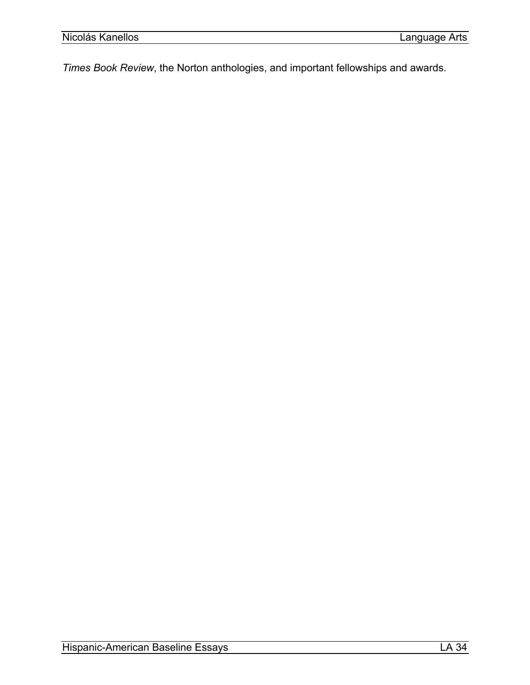*Times Book Review*, the Norton anthologies, and important fellowships and awards.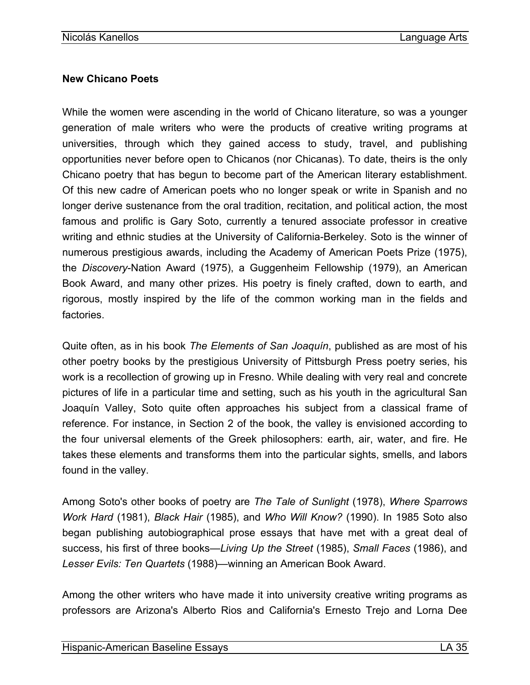### <span id="page-36-0"></span>**New Chicano Poets**

While the women were ascending in the world of Chicano literature, so was a younger generation of male writers who were the products of creative writing programs at universities, through which they gained access to study, travel, and publishing opportunities never before open to Chicanos (nor Chicanas). To date, theirs is the only Chicano poetry that has begun to become part of the American literary establishment. Of this new cadre of American poets who no longer speak or write in Spanish and no longer derive sustenance from the oral tradition, recitation, and political action, the most famous and prolific is Gary Soto, currently a tenured associate professor in creative writing and ethnic studies at the University of California-Berkeley. Soto is the winner of numerous prestigious awards, including the Academy of American Poets Prize (1975), the *Discovery*-Nation Award (1975), a Guggenheim Fellowship (1979), an American Book Award, and many other prizes. His poetry is finely crafted, down to earth, and rigorous, mostly inspired by the life of the common working man in the fields and factories.

Quite often, as in his book *The Elements of San Joaquín*, published as are most of his other poetry books by the prestigious University of Pittsburgh Press poetry series, his work is a recollection of growing up in Fresno. While dealing with very real and concrete pictures of life in a particular time and setting, such as his youth in the agricultural San Joaquín Valley, Soto quite often approaches his subject from a classical frame of reference. For instance, in Section 2 of the book, the valley is envisioned according to the four universal elements of the Greek philosophers: earth, air, water, and fire. He takes these elements and transforms them into the particular sights, smells, and labors found in the valley.

Among Soto's other books of poetry are *The Tale of Sunlight* (1978), *Where Sparrows Work Hard* (1981), *Black Hair* (1985), and *Who Will Know?* (1990). In 1985 Soto also began publishing autobiographical prose essays that have met with a great deal of success, his first of three books—*Living Up the Street* (1985), *Small Faces* (1986), and *Lesser Evils: Ten Quartets* (1988)—winning an American Book Award.

Among the other writers who have made it into university creative writing programs as professors are Arizona's Alberto Rios and California's Ernesto Trejo and Lorna Dee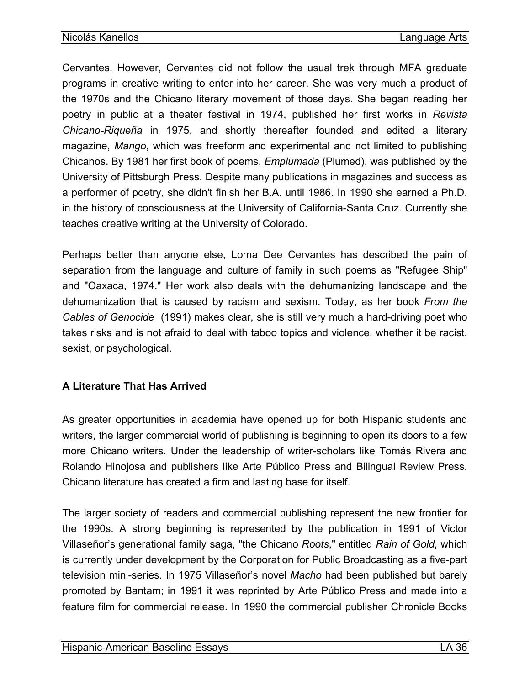<span id="page-37-0"></span>Cervantes. However, Cervantes did not follow the usual trek through MFA graduate programs in creative writing to enter into her career. She was very much a product of the 1970s and the Chicano literary movement of those days. She began reading her poetry in public at a theater festival in 1974, published her first works in *Revista Chicano-Riqueña* in 1975, and shortly thereafter founded and edited a literary magazine, *Mango*, which was freeform and experimental and not limited to publishing Chicanos. By 1981 her first book of poems, *Emplumada* (Plumed), was published by the University of Pittsburgh Press. Despite many publications in magazines and success as a performer of poetry, she didn't finish her B.A. until 1986. In 1990 she earned a Ph.D. in the history of consciousness at the University of California-Santa Cruz. Currently she teaches creative writing at the University of Colorado.

Perhaps better than anyone else, Lorna Dee Cervantes has described the pain of separation from the language and culture of family in such poems as "Refugee Ship" and "Oaxaca, 1974." Her work also deals with the dehumanizing landscape and the dehumanization that is caused by racism and sexism. Today, as her book *From the Cables of Genocide* (1991) makes clear, she is still very much a hard-driving poet who takes risks and is not afraid to deal with taboo topics and violence, whether it be racist, sexist, or psychological.

### **A Literature That Has Arrived**

As greater opportunities in academia have opened up for both Hispanic students and writers, the larger commercial world of publishing is beginning to open its doors to a few more Chicano writers. Under the leadership of writer-scholars like Tomás Rivera and Rolando Hinojosa and publishers like Arte Público Press and Bilingual Review Press, Chicano literature has created a firm and lasting base for itself.

The larger society of readers and commercial publishing represent the new frontier for the 1990s. A strong beginning is represented by the publication in 1991 of Victor Villaseñor's generational family saga, "the Chicano *Roots*," entitled *Rain of Gold*, which is currently under development by the Corporation for Public Broadcasting as a five-part television mini-series. In 1975 Villaseñor's novel *Macho* had been published but barely promoted by Bantam; in 1991 it was reprinted by Arte Público Press and made into a feature film for commercial release. In 1990 the commercial publisher Chronicle Books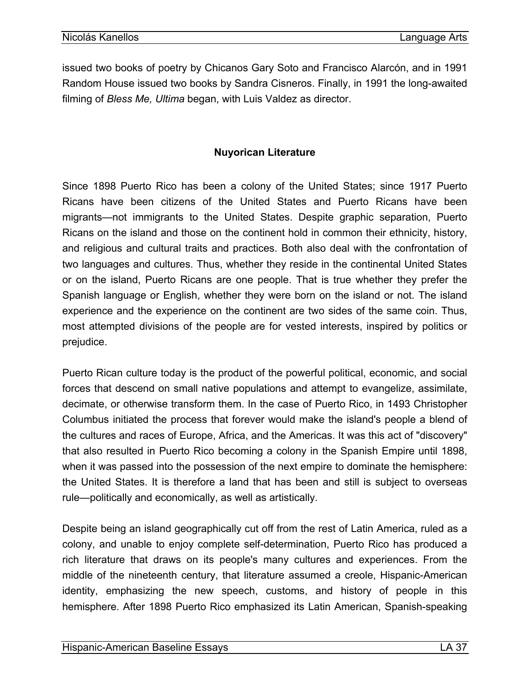<span id="page-38-0"></span>issued two books of poetry by Chicanos Gary Soto and Francisco Alarcón, and in 1991 Random House issued two books by Sandra Cisneros. Finally, in 1991 the long-awaited filming of *Bless Me, Ultima* began, with Luis Valdez as director.

### **Nuyorican Literature**

Since 1898 Puerto Rico has been a colony of the United States; since 1917 Puerto Ricans have been citizens of the United States and Puerto Ricans have been migrants—not immigrants to the United States. Despite graphic separation, Puerto Ricans on the island and those on the continent hold in common their ethnicity, history, and religious and cultural traits and practices. Both also deal with the confrontation of two languages and cultures. Thus, whether they reside in the continental United States or on the island, Puerto Ricans are one people. That is true whether they prefer the Spanish language or English, whether they were born on the island or not. The island experience and the experience on the continent are two sides of the same coin. Thus, most attempted divisions of the people are for vested interests, inspired by politics or prejudice.

Puerto Rican culture today is the product of the powerful political, economic, and social forces that descend on small native populations and attempt to evangelize, assimilate, decimate, or otherwise transform them. In the case of Puerto Rico, in 1493 Christopher Columbus initiated the process that forever would make the island's people a blend of the cultures and races of Europe, Africa, and the Americas. It was this act of "discovery" that also resulted in Puerto Rico becoming a colony in the Spanish Empire until 1898, when it was passed into the possession of the next empire to dominate the hemisphere: the United States. It is therefore a land that has been and still is subject to overseas rule—politically and economically, as well as artistically.

Despite being an island geographically cut off from the rest of Latin America, ruled as a colony, and unable to enjoy complete self-determination, Puerto Rico has produced a rich literature that draws on its people's many cultures and experiences. From the middle of the nineteenth century, that literature assumed a creole, Hispanic-American identity, emphasizing the new speech, customs, and history of people in this hemisphere. After 1898 Puerto Rico emphasized its Latin American, Spanish-speaking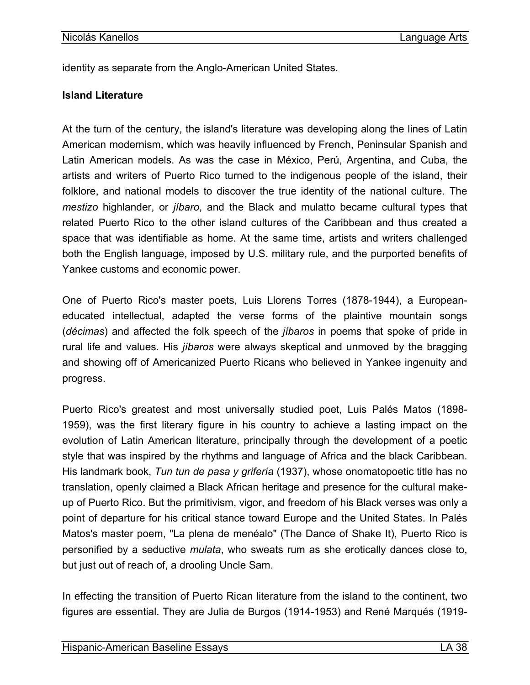<span id="page-39-0"></span>identity as separate from the Anglo-American United States.

#### **Island Literature**

At the turn of the century, the island's literature was developing along the lines of Latin American modernism, which was heavily influenced by French, Peninsular Spanish and Latin American models. As was the case in México, Perú, Argentina, and Cuba, the artists and writers of Puerto Rico turned to the indigenous people of the island, their folklore, and national models to discover the true identity of the national culture. The *mestizo* highlander, or *jíbaro*, and the Black and mulatto became cultural types that related Puerto Rico to the other island cultures of the Caribbean and thus created a space that was identifiable as home. At the same time, artists and writers challenged both the English language, imposed by U.S. military rule, and the purported benefits of Yankee customs and economic power.

One of Puerto Rico's master poets, Luis Llorens Torres (1878-1944), a Europeaneducated intellectual, adapted the verse forms of the plaintive mountain songs (*décimas*) and affected the folk speech of the *jíbaros* in poems that spoke of pride in rural life and values. His *jíbaros* were always skeptical and unmoved by the bragging and showing off of Americanized Puerto Ricans who believed in Yankee ingenuity and progress.

Puerto Rico's greatest and most universally studied poet, Luis Palés Matos (1898- 1959), was the first literary figure in his country to achieve a lasting impact on the evolution of Latin American literature, principally through the development of a poetic style that was inspired by the rhythms and language of Africa and the black Caribbean. His landmark book, *Tun tun de pasa y grifería* (1937), whose onomatopoetic title has no translation, openly claimed a Black African heritage and presence for the cultural makeup of Puerto Rico. But the primitivism, vigor, and freedom of his Black verses was only a point of departure for his critical stance toward Europe and the United States. In Palés Matos's master poem, "La plena de menéalo" (The Dance of Shake It), Puerto Rico is personified by a seductive *mulata*, who sweats rum as she erotically dances close to, but just out of reach of, a drooling Uncle Sam.

In effecting the transition of Puerto Rican literature from the island to the continent, two figures are essential. They are Julia de Burgos (1914-1953) and René Marqués (1919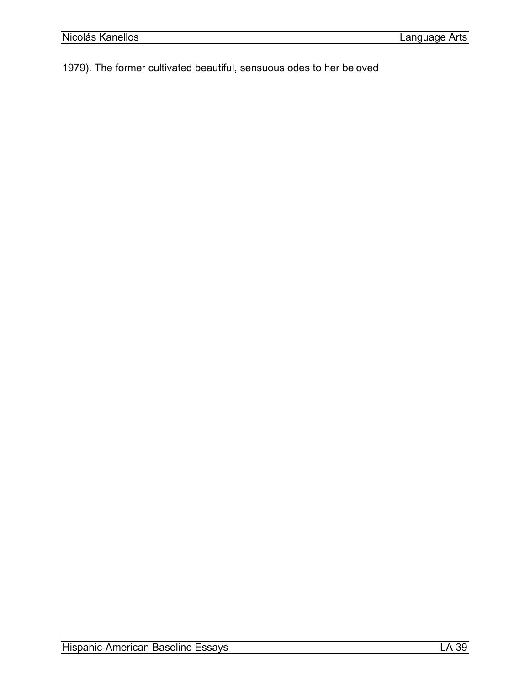1979). The former cultivated beautiful, sensuous odes to her beloved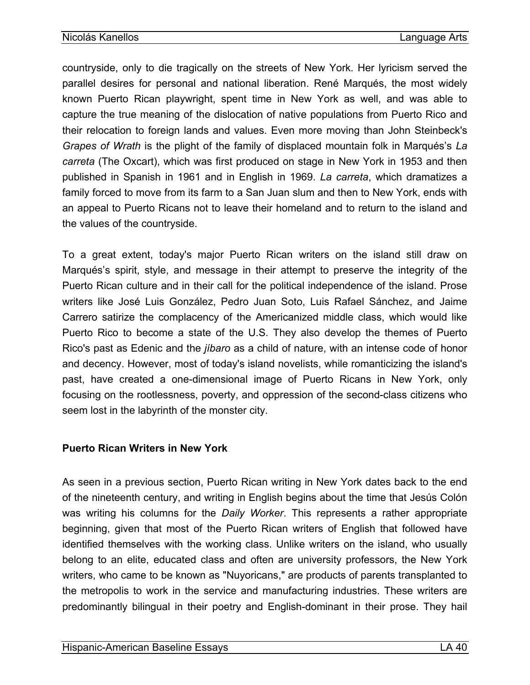<span id="page-41-0"></span>countryside, only to die tragically on the streets of New York. Her lyricism served the parallel desires for personal and national liberation. René Marqués, the most widely known Puerto Rican playwright, spent time in New York as well, and was able to capture the true meaning of the dislocation of native populations from Puerto Rico and their relocation to foreign lands and values. Even more moving than John Steinbeck's *Grapes of Wrath* is the plight of the family of displaced mountain folk in Marqués's *La carreta* (The Oxcart), which was first produced on stage in New York in 1953 and then published in Spanish in 1961 and in English in 1969. *La carreta*, which dramatizes a family forced to move from its farm to a San Juan slum and then to New York, ends with an appeal to Puerto Ricans not to leave their homeland and to return to the island and the values of the countryside.

To a great extent, today's major Puerto Rican writers on the island still draw on Marqués's spirit, style, and message in their attempt to preserve the integrity of the Puerto Rican culture and in their call for the political independence of the island. Prose writers like José Luis González, Pedro Juan Soto, Luis Rafael Sánchez, and Jaime Carrero satirize the complacency of the Americanized middle class, which would like Puerto Rico to become a state of the U.S. They also develop the themes of Puerto Rico's past as Edenic and the *jíbaro* as a child of nature, with an intense code of honor and decency. However, most of today's island novelists, while romanticizing the island's past, have created a one-dimensional image of Puerto Ricans in New York, only focusing on the rootlessness, poverty, and oppression of the second-class citizens who seem lost in the labyrinth of the monster city.

### **Puerto Rican Writers in New York**

As seen in a previous section, Puerto Rican writing in New York dates back to the end of the nineteenth century, and writing in English begins about the time that Jesús Colón was writing his columns for the *Daily Worker*. This represents a rather appropriate beginning, given that most of the Puerto Rican writers of English that followed have identified themselves with the working class. Unlike writers on the island, who usually belong to an elite, educated class and often are university professors, the New York writers, who came to be known as "Nuyoricans," are products of parents transplanted to the metropolis to work in the service and manufacturing industries. These writers are predominantly bilingual in their poetry and English-dominant in their prose. They hail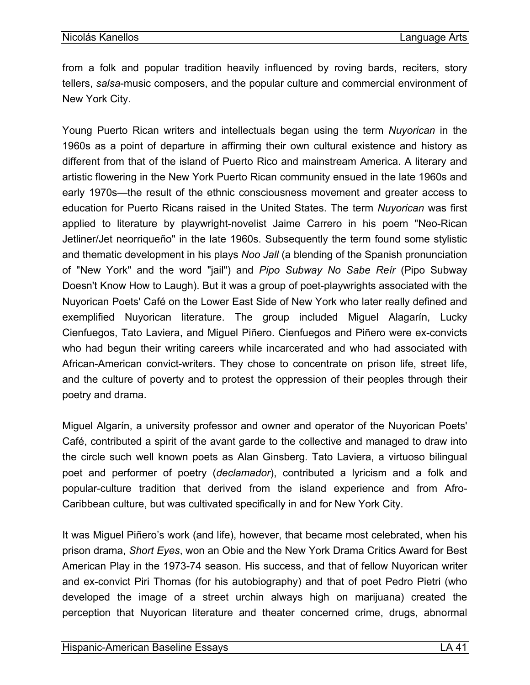from a folk and popular tradition heavily influenced by roving bards, reciters, story tellers, *salsa*-music composers, and the popular culture and commercial environment of New York City.

Young Puerto Rican writers and intellectuals began using the term *Nuyorican* in the 1960s as a point of departure in affirming their own cultural existence and history as different from that of the island of Puerto Rico and mainstream America. A literary and artistic flowering in the New York Puerto Rican community ensued in the late 1960s and early 1970s—the result of the ethnic consciousness movement and greater access to education for Puerto Ricans raised in the United States. The term *Nuyorican* was first applied to literature by playwright-novelist Jaime Carrero in his poem "Neo-Rican Jetliner/Jet neorriqueño" in the late 1960s. Subsequently the term found some stylistic and thematic development in his plays *Noo Jall* (a blending of the Spanish pronunciation of "New York" and the word "jail") and *Pipo Subway No Sabe Reír* (Pipo Subway Doesn't Know How to Laugh). But it was a group of poet-playwrights associated with the Nuyorican Poets' Café on the Lower East Side of New York who later really defined and exemplified Nuyorican literature. The group included Miguel Alagarín, Lucky Cienfuegos, Tato Laviera, and Miguel Piñero. Cienfuegos and Piñero were ex-convicts who had begun their writing careers while incarcerated and who had associated with African-American convict-writers. They chose to concentrate on prison life, street life, and the culture of poverty and to protest the oppression of their peoples through their poetry and drama.

Miguel Algarín, a university professor and owner and operator of the Nuyorican Poets' Café, contributed a spirit of the avant garde to the collective and managed to draw into the circle such well known poets as Alan Ginsberg. Tato Laviera, a virtuoso bilingual poet and performer of poetry (*declamador*), contributed a lyricism and a folk and popular-culture tradition that derived from the island experience and from Afro-Caribbean culture, but was cultivated specifically in and for New York City.

It was Miguel Piñero's work (and life), however, that became most celebrated, when his prison drama, *Short Eyes*, won an Obie and the New York Drama Critics Award for Best American Play in the 1973-74 season. His success, and that of fellow Nuyorican writer and ex-convict Piri Thomas (for his autobiography) and that of poet Pedro Pietri (who developed the image of a street urchin always high on marijuana) created the perception that Nuyorican literature and theater concerned crime, drugs, abnormal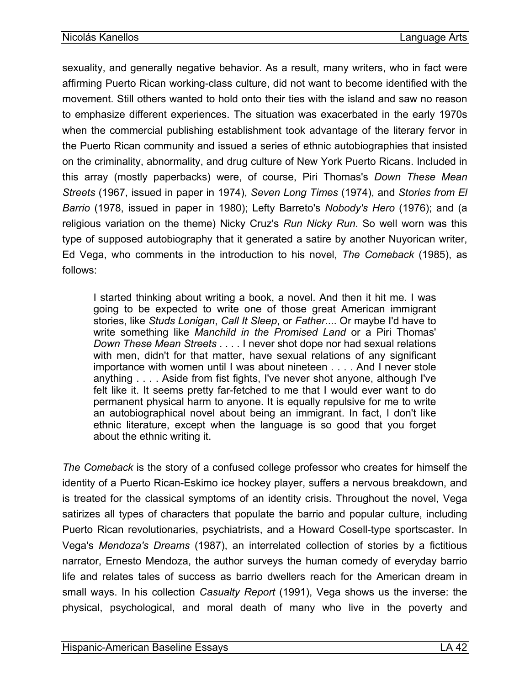sexuality, and generally negative behavior. As a result, many writers, who in fact were affirming Puerto Rican working-class culture, did not want to become identified with the movement. Still others wanted to hold onto their ties with the island and saw no reason to emphasize different experiences. The situation was exacerbated in the early 1970s when the commercial publishing establishment took advantage of the literary fervor in the Puerto Rican community and issued a series of ethnic autobiographies that insisted on the criminality, abnormality, and drug culture of New York Puerto Ricans. Included in this array (mostly paperbacks) were, of course, Piri Thomas's *Down These Mean Streets* (1967, issued in paper in 1974), *Seven Long Times* (1974), and *Stories from El Barrio* (1978, issued in paper in 1980); Lefty Barreto's *Nobody's Hero* (1976); and (a religious variation on the theme) Nicky Cruz's *Run Nicky Run*. So well worn was this type of supposed autobiography that it generated a satire by another Nuyorican writer, Ed Vega, who comments in the introduction to his novel, *The Comeback* (1985), as follows:

I started thinking about writing a book, a novel. And then it hit me. I was going to be expected to write one of those great American immigrant stories, like *Studs Lonigan*, *Call It Sleep*, or *Father*.... Or maybe I'd have to write something like *Manchild in the Promised Land* or a Piri Thomas' *Down These Mean Streets . . . .* I never shot dope nor had sexual relations with men, didn't for that matter, have sexual relations of any significant importance with women until I was about nineteen . . . . And I never stole anything . . . . Aside from fist fights, I've never shot anyone, although I've felt like it. It seems pretty far-fetched to me that I would ever want to do permanent physical harm to anyone. It is equally repulsive for me to write an autobiographical novel about being an immigrant. In fact, I don't like ethnic literature, except when the language is so good that you forget about the ethnic writing it.

*The Comeback* is the story of a confused college professor who creates for himself the identity of a Puerto Rican-Eskimo ice hockey player, suffers a nervous breakdown, and is treated for the classical symptoms of an identity crisis. Throughout the novel, Vega satirizes all types of characters that populate the barrio and popular culture, including Puerto Rican revolutionaries, psychiatrists, and a Howard Cosell-type sportscaster. In Vega's *Mendoza's Dreams* (1987), an interrelated collection of stories by a fictitious narrator, Ernesto Mendoza, the author surveys the human comedy of everyday barrio life and relates tales of success as barrio dwellers reach for the American dream in small ways. In his collection *Casualty Report* (1991), Vega shows us the inverse: the physical, psychological, and moral death of many who live in the poverty and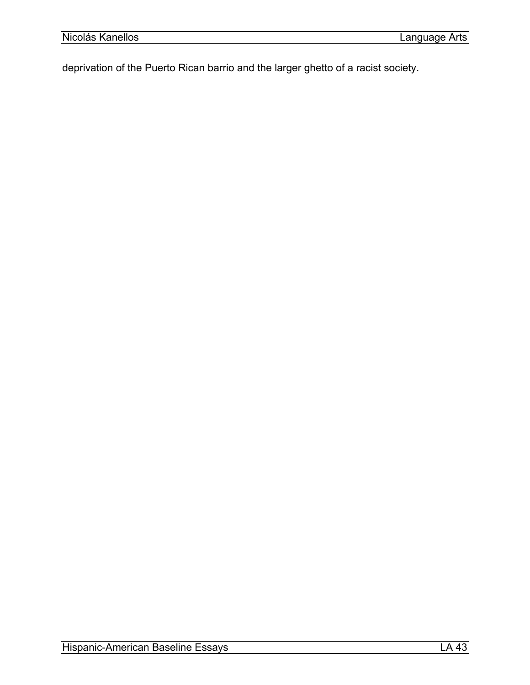deprivation of the Puerto Rican barrio and the larger ghetto of a racist society.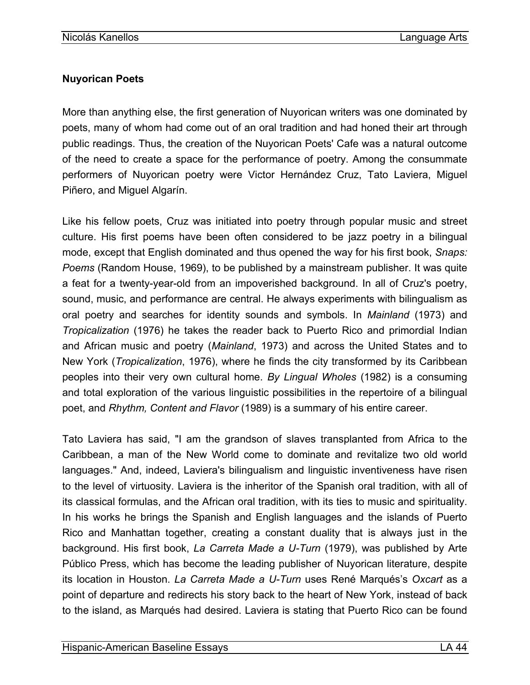# <span id="page-45-0"></span>**Nuyorican Poets**

More than anything else, the first generation of Nuyorican writers was one dominated by poets, many of whom had come out of an oral tradition and had honed their art through public readings. Thus, the creation of the Nuyorican Poets' Cafe was a natural outcome of the need to create a space for the performance of poetry. Among the consummate performers of Nuyorican poetry were Victor Hernández Cruz, Tato Laviera, Miguel Piñero, and Miguel Algarín.

Like his fellow poets, Cruz was initiated into poetry through popular music and street culture. His first poems have been often considered to be jazz poetry in a bilingual mode, except that English dominated and thus opened the way for his first book, *Snaps: Poems* (Random House, 1969), to be published by a mainstream publisher. It was quite a feat for a twenty-year-old from an impoverished background. In all of Cruz's poetry, sound, music, and performance are central. He always experiments with bilingualism as oral poetry and searches for identity sounds and symbols. In *Mainland* (1973) and *Tropicalization* (1976) he takes the reader back to Puerto Rico and primordial Indian and African music and poetry (*Mainland*, 1973) and across the United States and to New York (*Tropicalization*, 1976), where he finds the city transformed by its Caribbean peoples into their very own cultural home. *By Lingual Wholes* (1982) is a consuming and total exploration of the various linguistic possibilities in the repertoire of a bilingual poet, and *Rhythm, Content and Flavor* (1989) is a summary of his entire career.

Tato Laviera has said, "I am the grandson of slaves transplanted from Africa to the Caribbean, a man of the New World come to dominate and revitalize two old world languages." And, indeed, Laviera's bilingualism and linguistic inventiveness have risen to the level of virtuosity. Laviera is the inheritor of the Spanish oral tradition, with all of its classical formulas, and the African oral tradition, with its ties to music and spirituality. In his works he brings the Spanish and English languages and the islands of Puerto Rico and Manhattan together, creating a constant duality that is always just in the background. His first book, *La Carreta Made a U-Turn* (1979), was published by Arte Público Press, which has become the leading publisher of Nuyorican literature, despite its location in Houston. *La Carreta Made a U-Turn* uses René Marqués's *Oxcart* as a point of departure and redirects his story back to the heart of New York, instead of back to the island, as Marqués had desired. Laviera is stating that Puerto Rico can be found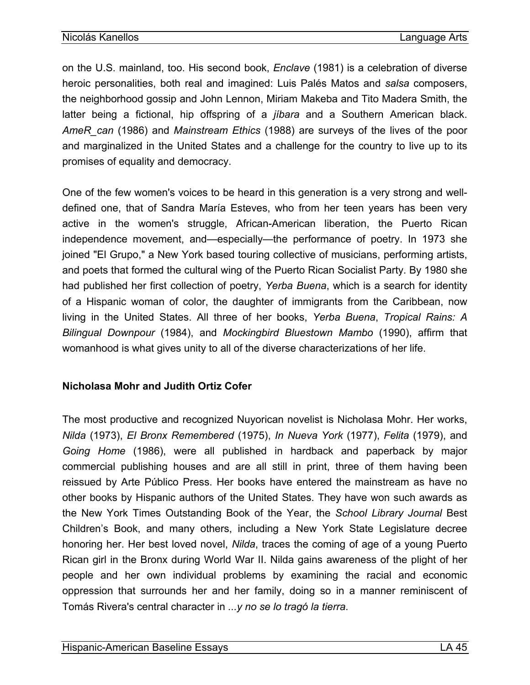<span id="page-46-0"></span>on the U.S. mainland, too. His second book, *Enclave* (1981) is a celebration of diverse heroic personalities, both real and imagined: Luis Palés Matos and *salsa* composers, the neighborhood gossip and John Lennon, Miriam Makeba and Tito Madera Smith, the latter being a fictional, hip offspring of a *jíbara* and a Southern American black. *AmeR\_can* (1986) and *Mainstream Ethics* (1988) are surveys of the lives of the poor and marginalized in the United States and a challenge for the country to live up to its promises of equality and democracy.

One of the few women's voices to be heard in this generation is a very strong and welldefined one, that of Sandra María Esteves, who from her teen years has been very active in the women's struggle, African-American liberation, the Puerto Rican independence movement, and—especially—the performance of poetry. In 1973 she joined "El Grupo," a New York based touring collective of musicians, performing artists, and poets that formed the cultural wing of the Puerto Rican Socialist Party. By 1980 she had published her first collection of poetry, *Yerba Buena*, which is a search for identity of a Hispanic woman of color, the daughter of immigrants from the Caribbean, now living in the United States. All three of her books, *Yerba Buena*, *Tropical Rains: A Bilingual Downpour* (1984), and *Mockingbird Bluestown Mambo* (1990), affirm that womanhood is what gives unity to all of the diverse characterizations of her life.

### **Nicholasa Mohr and Judith Ortiz Cofer**

The most productive and recognized Nuyorican novelist is Nicholasa Mohr. Her works, *Nilda* (1973), *El Bronx Remembered* (1975), *In Nueva York* (1977), *Felita* (1979), and *Going Home* (1986), were all published in hardback and paperback by major commercial publishing houses and are all still in print, three of them having been reissued by Arte Público Press. Her books have entered the mainstream as have no other books by Hispanic authors of the United States. They have won such awards as the New York Times Outstanding Book of the Year, the *School Library Journal* Best Children's Book, and many others, including a New York State Legislature decree honoring her. Her best loved novel, *Nilda*, traces the coming of age of a young Puerto Rican girl in the Bronx during World War II. Nilda gains awareness of the plight of her people and her own individual problems by examining the racial and economic oppression that surrounds her and her family, doing so in a manner reminiscent of Tomás Rivera's central character in *...y no se lo tragó la tierra*.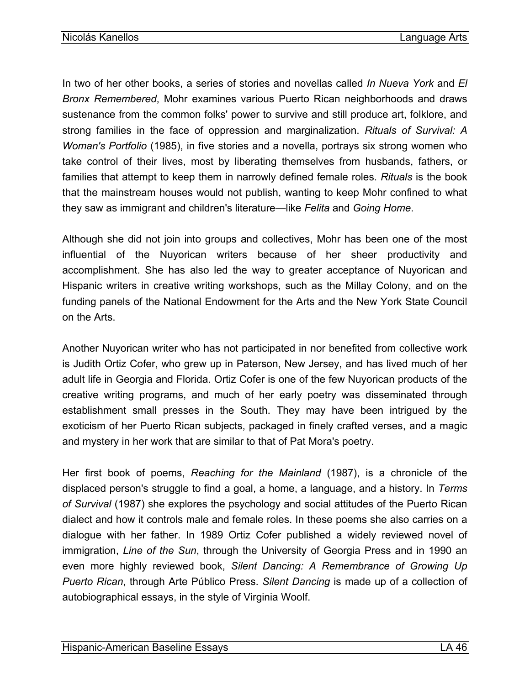In two of her other books, a series of stories and novellas called *In Nueva York* and *El Bronx Remembered*, Mohr examines various Puerto Rican neighborhoods and draws sustenance from the common folks' power to survive and still produce art, folklore, and strong families in the face of oppression and marginalization. *Rituals of Survival: A Woman's Portfolio* (1985), in five stories and a novella, portrays six strong women who take control of their lives, most by liberating themselves from husbands, fathers, or families that attempt to keep them in narrowly defined female roles. *Rituals* is the book that the mainstream houses would not publish, wanting to keep Mohr confined to what they saw as immigrant and children's literature—like *Felita* and *Going Home*.

Although she did not join into groups and collectives, Mohr has been one of the most influential of the Nuyorican writers because of her sheer productivity and accomplishment. She has also led the way to greater acceptance of Nuyorican and Hispanic writers in creative writing workshops, such as the Millay Colony, and on the funding panels of the National Endowment for the Arts and the New York State Council on the Arts.

Another Nuyorican writer who has not participated in nor benefited from collective work is Judith Ortiz Cofer, who grew up in Paterson, New Jersey, and has lived much of her adult life in Georgia and Florida. Ortiz Cofer is one of the few Nuyorican products of the creative writing programs, and much of her early poetry was disseminated through establishment small presses in the South. They may have been intrigued by the exoticism of her Puerto Rican subjects, packaged in finely crafted verses, and a magic and mystery in her work that are similar to that of Pat Mora's poetry.

Her first book of poems, *Reaching for the Mainland* (1987), is a chronicle of the displaced person's struggle to find a goal, a home, a language, and a history. In *Terms of Survival* (1987) she explores the psychology and social attitudes of the Puerto Rican dialect and how it controls male and female roles. In these poems she also carries on a dialogue with her father. In 1989 Ortiz Cofer published a widely reviewed novel of immigration, *Line of the Sun*, through the University of Georgia Press and in 1990 an even more highly reviewed book, *Silent Dancing: A Remembrance of Growing Up Puerto Rican*, through Arte Público Press. *Silent Dancing* is made up of a collection of autobiographical essays, in the style of Virginia Woolf.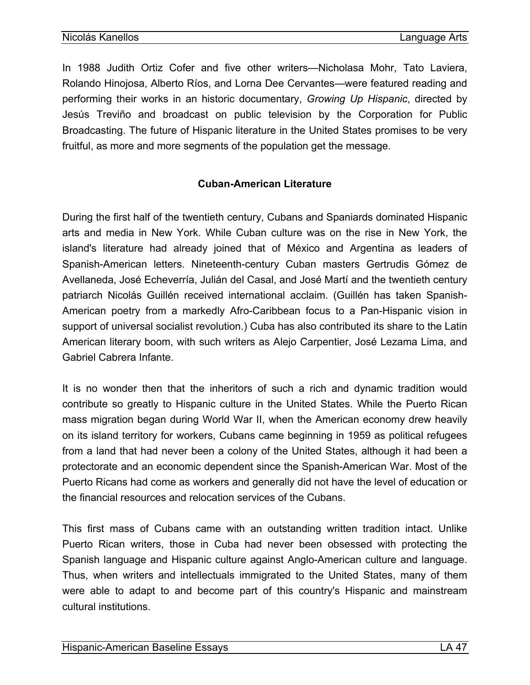<span id="page-48-0"></span>In 1988 Judith Ortiz Cofer and five other writers—Nicholasa Mohr, Tato Laviera, Rolando Hinojosa, Alberto Ríos, and Lorna Dee Cervantes—were featured reading and performing their works in an historic documentary, *Growing Up Hispanic*, directed by Jesús Treviño and broadcast on public television by the Corporation for Public Broadcasting. The future of Hispanic literature in the United States promises to be very fruitful, as more and more segments of the population get the message.

# **Cuban-American Literature**

During the first half of the twentieth century, Cubans and Spaniards dominated Hispanic arts and media in New York. While Cuban culture was on the rise in New York, the island's literature had already joined that of México and Argentina as leaders of Spanish-American letters. Nineteenth-century Cuban masters Gertrudis Gómez de Avellaneda, José Echeverría, Julián del Casal, and José Martí and the twentieth century patriarch Nicolás Guillén received international acclaim. (Guillén has taken Spanish-American poetry from a markedly Afro-Caribbean focus to a Pan-Hispanic vision in support of universal socialist revolution.) Cuba has also contributed its share to the Latin American literary boom, with such writers as Alejo Carpentier, José Lezama Lima, and Gabriel Cabrera Infante.

It is no wonder then that the inheritors of such a rich and dynamic tradition would contribute so greatly to Hispanic culture in the United States. While the Puerto Rican mass migration began during World War II, when the American economy drew heavily on its island territory for workers, Cubans came beginning in 1959 as political refugees from a land that had never been a colony of the United States, although it had been a protectorate and an economic dependent since the Spanish-American War. Most of the Puerto Ricans had come as workers and generally did not have the level of education or the financial resources and relocation services of the Cubans.

This first mass of Cubans came with an outstanding written tradition intact. Unlike Puerto Rican writers, those in Cuba had never been obsessed with protecting the Spanish language and Hispanic culture against Anglo-American culture and language. Thus, when writers and intellectuals immigrated to the United States, many of them were able to adapt to and become part of this country's Hispanic and mainstream cultural institutions.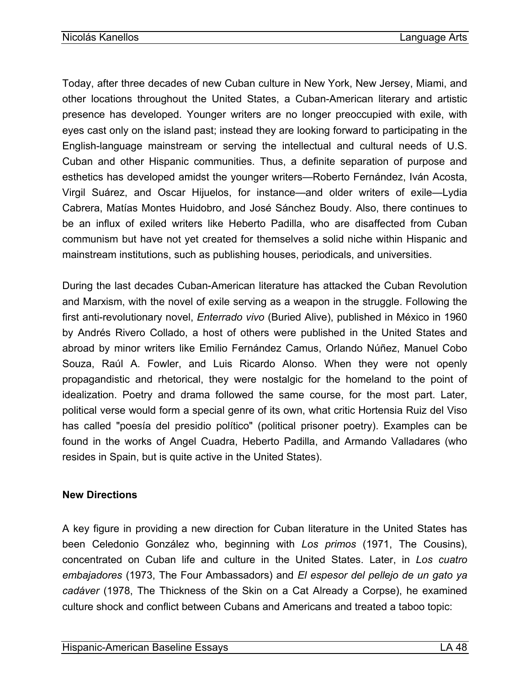<span id="page-49-0"></span>Today, after three decades of new Cuban culture in New York, New Jersey, Miami, and other locations throughout the United States, a Cuban-American literary and artistic presence has developed. Younger writers are no longer preoccupied with exile, with eyes cast only on the island past; instead they are looking forward to participating in the English-language mainstream or serving the intellectual and cultural needs of U.S. Cuban and other Hispanic communities. Thus, a definite separation of purpose and esthetics has developed amidst the younger writers—Roberto Fernández, Iván Acosta, Virgil Suárez, and Oscar Hijuelos, for instance—and older writers of exile—Lydia Cabrera, Matías Montes Huidobro, and José Sánchez Boudy. Also, there continues to be an influx of exiled writers like Heberto Padilla, who are disaffected from Cuban communism but have not yet created for themselves a solid niche within Hispanic and mainstream institutions, such as publishing houses, periodicals, and universities.

During the last decades Cuban-American literature has attacked the Cuban Revolution and Marxism, with the novel of exile serving as a weapon in the struggle. Following the first anti-revolutionary novel, *Enterrado vivo* (Buried Alive), published in México in 1960 by Andrés Rivero Collado, a host of others were published in the United States and abroad by minor writers like Emilio Fernández Camus, Orlando Núñez, Manuel Cobo Souza, Raúl A. Fowler, and Luis Ricardo Alonso. When they were not openly propagandistic and rhetorical, they were nostalgic for the homeland to the point of idealization. Poetry and drama followed the same course, for the most part. Later, political verse would form a special genre of its own, what critic Hortensia Ruiz del Viso has called "poesía del presidio político" (political prisoner poetry). Examples can be found in the works of Angel Cuadra, Heberto Padilla, and Armando Valladares (who resides in Spain, but is quite active in the United States).

#### **New Directions**

A key figure in providing a new direction for Cuban literature in the United States has been Celedonio González who, beginning with *Los primos* (1971, The Cousins), concentrated on Cuban life and culture in the United States. Later, in *Los cuatro embajadores* (1973, The Four Ambassadors) and *El espesor del pellejo de un gato ya cadáver* (1978, The Thickness of the Skin on a Cat Already a Corpse), he examined culture shock and conflict between Cubans and Americans and treated a taboo topic: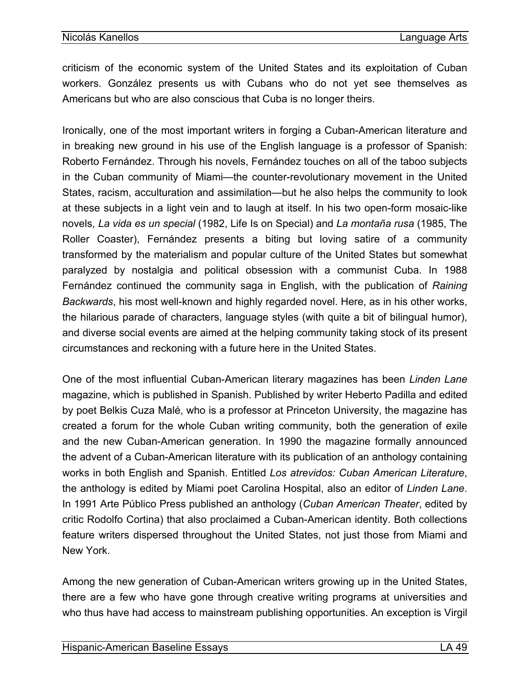criticism of the economic system of the United States and its exploitation of Cuban workers. González presents us with Cubans who do not yet see themselves as Americans but who are also conscious that Cuba is no longer theirs.

Ironically, one of the most important writers in forging a Cuban-American literature and in breaking new ground in his use of the English language is a professor of Spanish: Roberto Fernández. Through his novels, Fernández touches on all of the taboo subjects in the Cuban community of Miami—the counter-revolutionary movement in the United States, racism, acculturation and assimilation—but he also helps the community to look at these subjects in a light vein and to laugh at itself. In his two open-form mosaic-like novels, *La vida es un special* (1982, Life Is on Special) and *La montaña rusa* (1985, The Roller Coaster), Fernández presents a biting but loving satire of a community transformed by the materialism and popular culture of the United States but somewhat paralyzed by nostalgia and political obsession with a communist Cuba. In 1988 Fernández continued the community saga in English, with the publication of *Raining Backwards*, his most well-known and highly regarded novel. Here, as in his other works, the hilarious parade of characters, language styles (with quite a bit of bilingual humor), and diverse social events are aimed at the helping community taking stock of its present circumstances and reckoning with a future here in the United States.

One of the most influential Cuban-American literary magazines has been *Linden Lane* magazine, which is published in Spanish. Published by writer Heberto Padilla and edited by poet Belkis Cuza Malé, who is a professor at Princeton University, the magazine has created a forum for the whole Cuban writing community, both the generation of exile and the new Cuban-American generation. In 1990 the magazine formally announced the advent of a Cuban-American literature with its publication of an anthology containing works in both English and Spanish. Entitled *Los atrevidos: Cuban American Literature*, the anthology is edited by Miami poet Carolina Hospital, also an editor of *Linden Lane*. In 1991 Arte Público Press published an anthology (*Cuban American Theater*, edited by critic Rodolfo Cortina) that also proclaimed a Cuban-American identity. Both collections feature writers dispersed throughout the United States, not just those from Miami and New York.

Among the new generation of Cuban-American writers growing up in the United States, there are a few who have gone through creative writing programs at universities and who thus have had access to mainstream publishing opportunities. An exception is Virgil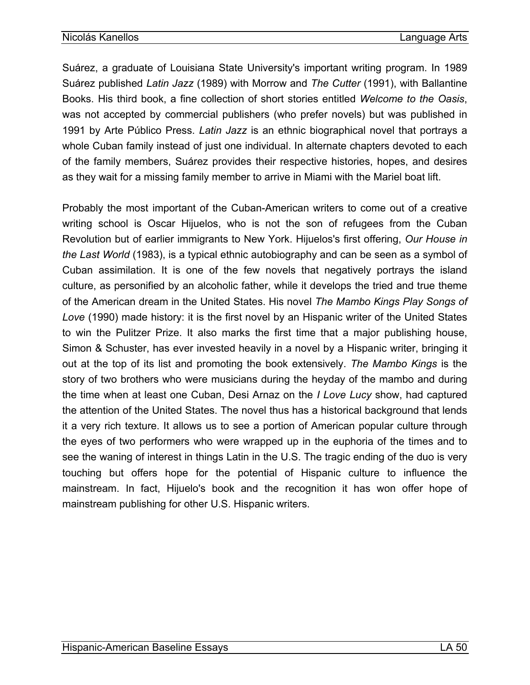Suárez, a graduate of Louisiana State University's important writing program. In 1989 Suárez published *Latin Jazz* (1989) with Morrow and *The Cutter* (1991), with Ballantine Books. His third book, a fine collection of short stories entitled *Welcome to the Oasis*, was not accepted by commercial publishers (who prefer novels) but was published in 1991 by Arte Público Press. *Latin Jazz* is an ethnic biographical novel that portrays a whole Cuban family instead of just one individual. In alternate chapters devoted to each of the family members, Suárez provides their respective histories, hopes, and desires as they wait for a missing family member to arrive in Miami with the Mariel boat lift.

Probably the most important of the Cuban-American writers to come out of a creative writing school is Oscar Hijuelos, who is not the son of refugees from the Cuban Revolution but of earlier immigrants to New York. Hijuelos's first offering, *Our House in the Last World* (1983), is a typical ethnic autobiography and can be seen as a symbol of Cuban assimilation. It is one of the few novels that negatively portrays the island culture, as personified by an alcoholic father, while it develops the tried and true theme of the American dream in the United States. His novel *The Mambo Kings Play Songs of Love* (1990) made history: it is the first novel by an Hispanic writer of the United States to win the Pulitzer Prize. It also marks the first time that a major publishing house, Simon & Schuster, has ever invested heavily in a novel by a Hispanic writer, bringing it out at the top of its list and promoting the book extensively. *The Mambo Kings* is the story of two brothers who were musicians during the heyday of the mambo and during the time when at least one Cuban, Desi Arnaz on the *I Love Lucy* show, had captured the attention of the United States. The novel thus has a historical background that lends it a very rich texture. It allows us to see a portion of American popular culture through the eyes of two performers who were wrapped up in the euphoria of the times and to see the waning of interest in things Latin in the U.S. The tragic ending of the duo is very touching but offers hope for the potential of Hispanic culture to influence the mainstream. In fact, Hijuelo's book and the recognition it has won offer hope of mainstream publishing for other U.S. Hispanic writers.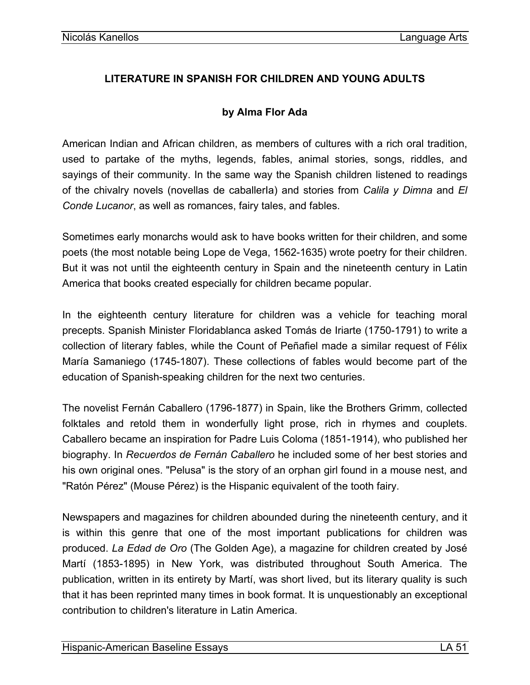# <span id="page-52-0"></span>**LITERATURE IN SPANISH FOR CHILDREN AND YOUNG ADULTS**

# **by Alma Flor Ada**

American Indian and African children, as members of cultures with a rich oral tradition, used to partake of the myths, legends, fables, animal stories, songs, riddles, and sayings of their community. In the same way the Spanish children listened to readings of the chivalry novels (novellas de caballerIa) and stories from *Calila y Dimna* and *El Conde Lucanor*, as well as romances, fairy tales, and fables.

Sometimes early monarchs would ask to have books written for their children, and some poets (the most notable being Lope de Vega, 1562-1635) wrote poetry for their children. But it was not until the eighteenth century in Spain and the nineteenth century in Latin America that books created especially for children became popular.

In the eighteenth century literature for children was a vehicle for teaching moral precepts. Spanish Minister Floridablanca asked Tomás de Iriarte (1750-1791) to write a collection of literary fables, while the Count of Peñafiel made a similar request of Félix María Samaniego (1745-1807). These collections of fables would become part of the education of Spanish-speaking children for the next two centuries.

The novelist Fernán Caballero (1796-1877) in Spain, like the Brothers Grimm, collected folktales and retold them in wonderfully light prose, rich in rhymes and couplets. Caballero became an inspiration for Padre Luis Coloma (1851-1914), who published her biography. In *Recuerdos de Fernán Caballero* he included some of her best stories and his own original ones. "Pelusa" is the story of an orphan girl found in a mouse nest, and "Ratón Pérez" (Mouse Pérez) is the Hispanic equivalent of the tooth fairy.

Newspapers and magazines for children abounded during the nineteenth century, and it is within this genre that one of the most important publications for children was produced. *La Edad de Oro* (The Golden Age), a magazine for children created by José Martí (1853-1895) in New York, was distributed throughout South America. The publication, written in its entirety by Martí, was short lived, but its literary quality is such that it has been reprinted many times in book format. It is unquestionably an exceptional contribution to children's literature in Latin America.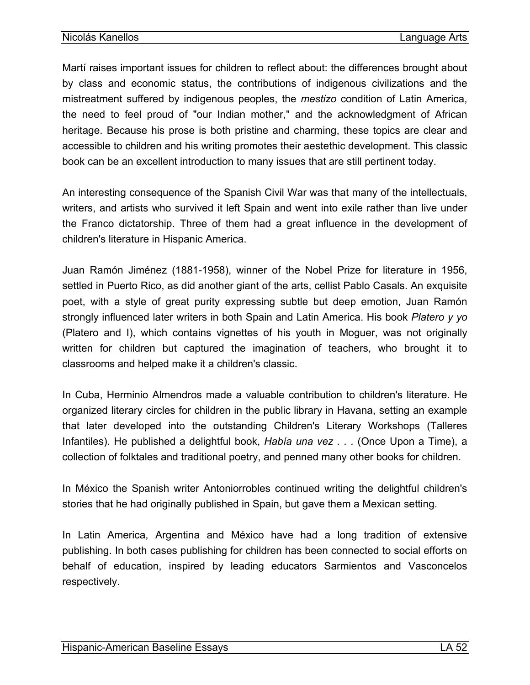Martí raises important issues for children to reflect about: the differences brought about by class and economic status, the contributions of indigenous civilizations and the mistreatment suffered by indigenous peoples, the *mestizo* condition of Latin America, the need to feel proud of "our Indian mother," and the acknowledgment of African heritage. Because his prose is both pristine and charming, these topics are clear and accessible to children and his writing promotes their aestethic development. This classic book can be an excellent introduction to many issues that are still pertinent today.

An interesting consequence of the Spanish Civil War was that many of the intellectuals, writers, and artists who survived it left Spain and went into exile rather than live under the Franco dictatorship. Three of them had a great influence in the development of children's literature in Hispanic America.

Juan Ramón Jiménez (1881-1958), winner of the Nobel Prize for literature in 1956, settled in Puerto Rico, as did another giant of the arts, cellist Pablo Casals. An exquisite poet, with a style of great purity expressing subtle but deep emotion, Juan Ramón strongly influenced later writers in both Spain and Latin America. His book *Platero y yo* (Platero and I), which contains vignettes of his youth in Moguer, was not originally written for children but captured the imagination of teachers, who brought it to classrooms and helped make it a children's classic.

In Cuba, Herminio Almendros made a valuable contribution to children's literature. He organized literary circles for children in the public library in Havana, setting an example that later developed into the outstanding Children's Literary Workshops (Talleres Infantiles). He published a delightful book, *Había una vez . . .* (Once Upon a Time), a collection of folktales and traditional poetry, and penned many other books for children.

In México the Spanish writer Antoniorrobles continued writing the delightful children's stories that he had originally published in Spain, but gave them a Mexican setting.

In Latin America, Argentina and México have had a long tradition of extensive publishing. In both cases publishing for children has been connected to social efforts on behalf of education, inspired by leading educators Sarmientos and Vasconcelos respectively.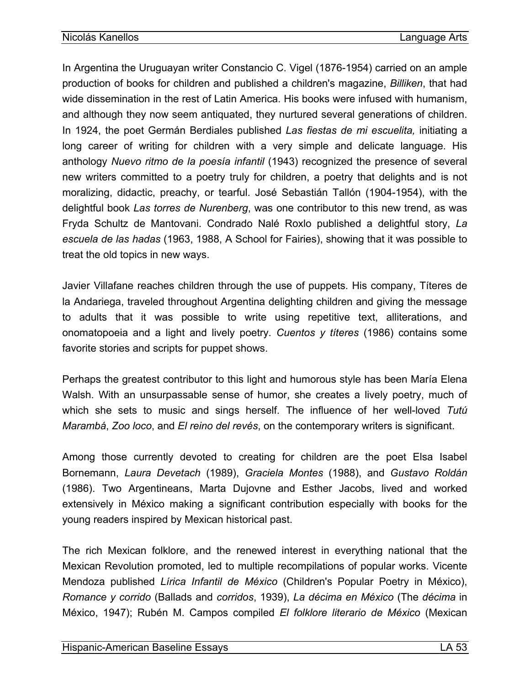In Argentina the Uruguayan writer Constancio C. Vigel (1876-1954) carried on an ample production of books for children and published a children's magazine, *Billiken*, that had wide dissemination in the rest of Latin America. His books were infused with humanism, and although they now seem antiquated, they nurtured several generations of children. In 1924, the poet Germán Berdiales published *Las fiestas de mi escuelita,* initiating a long career of writing for children with a very simple and delicate language. His anthology *Nuevo ritmo de la poesía infantil* (1943) recognized the presence of several new writers committed to a poetry truly for children, a poetry that delights and is not moralizing, didactic, preachy, or tearful. José Sebastián Tallón (1904-1954), with the delightful book *Las torres de Nurenberg*, was one contributor to this new trend, as was Fryda Schultz de Mantovani. Condrado Nalé Roxlo published a delightful story, *La escuela de las hadas* (1963, 1988, A School for Fairies), showing that it was possible to treat the old topics in new ways.

Javier Villafane reaches children through the use of puppets. His company, Títeres de la Andariega, traveled throughout Argentina delighting children and giving the message to adults that it was possible to write using repetitive text, alliterations, and onomatopoeia and a light and lively poetry. *Cuentos y títeres* (1986) contains some favorite stories and scripts for puppet shows.

Perhaps the greatest contributor to this light and humorous style has been María Elena Walsh. With an unsurpassable sense of humor, she creates a lively poetry, much of which she sets to music and sings herself. The influence of her well-loved *Tutú Marambá*, *Zoo loco*, and *El reino del revés*, on the contemporary writers is significant.

Among those currently devoted to creating for children are the poet Elsa Isabel Bornemann, *Laura Devetach* (1989), *Graciela Montes* (1988), and *Gustavo Roldán*  (1986). Two Argentineans, Marta Dujovne and Esther Jacobs, lived and worked extensively in México making a significant contribution especially with books for the young readers inspired by Mexican historical past.

The rich Mexican folklore, and the renewed interest in everything national that the Mexican Revolution promoted, led to multiple recompilations of popular works. Vicente Mendoza published *Lírica Infantil de México* (Children's Popular Poetry in México), *Romance y corrido* (Ballads and *corridos*, 1939), *La décima en México* (The *décima* in México, 1947); Rubén M. Campos compiled *El folklore literario de México* (Mexican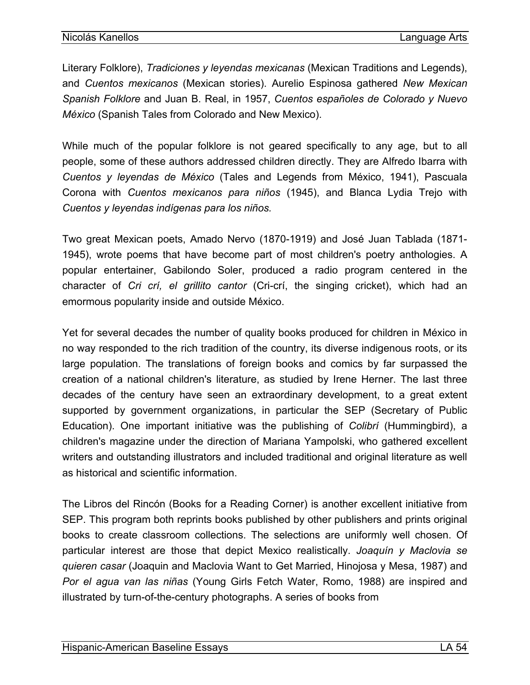Literary Folklore), *Tradiciones y leyendas mexicanas* (Mexican Traditions and Legends), and *Cuentos mexicanos* (Mexican stories). Aurelio Espinosa gathered *New Mexican Spanish Folklore* and Juan B. Real, in 1957, *Cuentos españoles de Colorado y Nuevo México* (Spanish Tales from Colorado and New Mexico).

While much of the popular folklore is not geared specifically to any age, but to all people, some of these authors addressed children directly. They are Alfredo Ibarra with *Cuentos y leyendas de México* (Tales and Legends from México, 1941), Pascuala Corona with *Cuentos mexicanos para niños* (1945), and Blanca Lydia Trejo with *Cuentos y leyendas indígenas para los niños.* 

Two great Mexican poets, Amado Nervo (1870-1919) and José Juan Tablada (1871- 1945), wrote poems that have become part of most children's poetry anthologies. A popular entertainer, Gabilondo Soler, produced a radio program centered in the character of *Cri crí, el grillito cantor* (Cri-crí, the singing cricket), which had an emormous popularity inside and outside México.

Yet for several decades the number of quality books produced for children in México in no way responded to the rich tradition of the country, its diverse indigenous roots, or its large population. The translations of foreign books and comics by far surpassed the creation of a national children's literature, as studied by Irene Herner. The last three decades of the century have seen an extraordinary development, to a great extent supported by government organizations, in particular the SEP (Secretary of Public Education). One important initiative was the publishing of *Colibrí* (Hummingbird), a children's magazine under the direction of Mariana Yampolski, who gathered excellent writers and outstanding illustrators and included traditional and original literature as well as historical and scientific information.

The Libros del Rincón (Books for a Reading Corner) is another excellent initiative from SEP. This program both reprints books published by other publishers and prints original books to create classroom collections. The selections are uniformly well chosen. Of particular interest are those that depict Mexico realistically. *Joaquín y Maclovia se quieren casar* (Joaquin and Maclovia Want to Get Married, Hinojosa y Mesa, 1987) and *Por el agua van las niñas* (Young Girls Fetch Water, Romo, 1988) are inspired and illustrated by turn-of-the-century photographs. A series of books from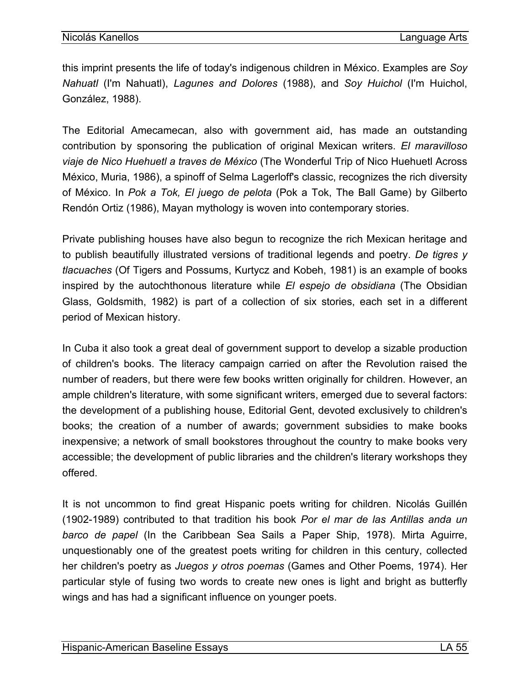this imprint presents the life of today's indigenous children in México. Examples are *Soy Nahuatl* (I'm Nahuatl), *Lagunes and Dolores* (1988), and *Soy Huichol* (I'm Huichol, González, 1988).

The Editorial Amecamecan, also with government aid, has made an outstanding contribution by sponsoring the publication of original Mexican writers. *El maravilloso viaje de Nico Huehuetl a traves de México* (The Wonderful Trip of Nico Huehuetl Across México, Muria, 1986), a spinoff of Selma Lagerloff's classic, recognizes the rich diversity of México. In *Pok a Tok, El juego de pelota* (Pok a Tok, The Ball Game) by Gilberto Rendón Ortiz (1986), Mayan mythology is woven into contemporary stories.

Private publishing houses have also begun to recognize the rich Mexican heritage and to publish beautifully illustrated versions of traditional legends and poetry. *De tigres y tlacuaches* (Of Tigers and Possums, Kurtycz and Kobeh, 1981) is an example of books inspired by the autochthonous literature while *El espejo de obsidiana* (The Obsidian Glass, Goldsmith, 1982) is part of a collection of six stories, each set in a different period of Mexican history.

In Cuba it also took a great deal of government support to develop a sizable production of children's books. The literacy campaign carried on after the Revolution raised the number of readers, but there were few books written originally for children. However, an ample children's literature, with some significant writers, emerged due to several factors: the development of a publishing house, Editorial Gent, devoted exclusively to children's books; the creation of a number of awards; government subsidies to make books inexpensive; a network of small bookstores throughout the country to make books very accessible; the development of public libraries and the children's literary workshops they offered.

It is not uncommon to find great Hispanic poets writing for children. Nicolás Guillén (1902-1989) contributed to that tradition his book *Por el mar de las Antillas anda un barco de papel* (In the Caribbean Sea Sails a Paper Ship, 1978). Mirta Aguirre, unquestionably one of the greatest poets writing for children in this century, collected her children's poetry as *Juegos y otros poemas* (Games and Other Poems, 1974). Her particular style of fusing two words to create new ones is light and bright as butterfly wings and has had a significant influence on younger poets.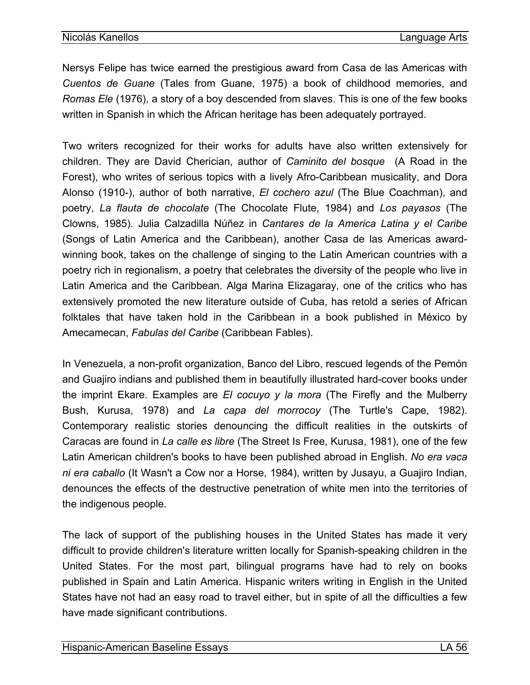Nersys Felipe has twice earned the prestigious award from Casa de las Americas with *Cuentos de Guane* (Tales from Guane, 1975) a book of childhood memories, and *Romas Ele* (1976), a story of a boy descended from slaves. This is one of the few books written in Spanish in which the African heritage has been adequately portrayed.

Two writers recognized for their works for adults have also written extensively for children. They are David Cherician, author of *Caminito del bosque* (A Road in the Forest), who writes of serious topics with a lively Afro-Caribbean musicality, and Dora Alonso (1910-), author of both narrative, *El cochero azul* (The Blue Coachman), and poetry, *La flauta de chocolate* (The Chocolate Flute, 1984) and *Los payasos* (The Clowns, 1985). Julia Calzadilla Núñez in *Cantares de la America Latina y el Caribe*  (Songs of Latin America and the Caribbean), another Casa de las Americas awardwinning book, takes on the challenge of singing to the Latin American countries with a poetry rich in regionalism, a poetry that celebrates the diversity of the people who live in Latin America and the Caribbean. Alga Marina Elizagaray, one of the critics who has extensively promoted the new literature outside of Cuba, has retold a series of African folktales that have taken hold in the Caribbean in a book published in México by Amecamecan, *Fabulas del Caribe* (Caribbean Fables).

In Venezuela, a non-profit organization, Banco del Libro, rescued legends of the Pemón and Guajiro indians and published them in beautifully illustrated hard-cover books under the imprint Ekare. Examples are *El cocuyo y la mora* (The Firefly and the Mulberry Bush, Kurusa, 1978) and *La capa del morrocoy* (The Turtle's Cape, 1982). Contemporary realistic stories denouncing the difficult realities in the outskirts of Caracas are found in *La calle es libre* (The Street Is Free, Kurusa, 1981), one of the few Latin American children's books to have been published abroad in English. *No era vaca ni era caballo* (It Wasn't a Cow nor a Horse, 1984), written by Jusayu, a Guajiro Indian, denounces the effects of the destructive penetration of white men into the territories of the indigenous people.

The lack of support of the publishing houses in the United States has made it very difficult to provide children's literature written locally for Spanish-speaking children in the United States. For the most part, bilingual programs have had to rely on books published in Spain and Latin America. Hispanic writers writing in English in the United States have not had an easy road to travel either, but in spite of all the difficulties a few have made significant contributions.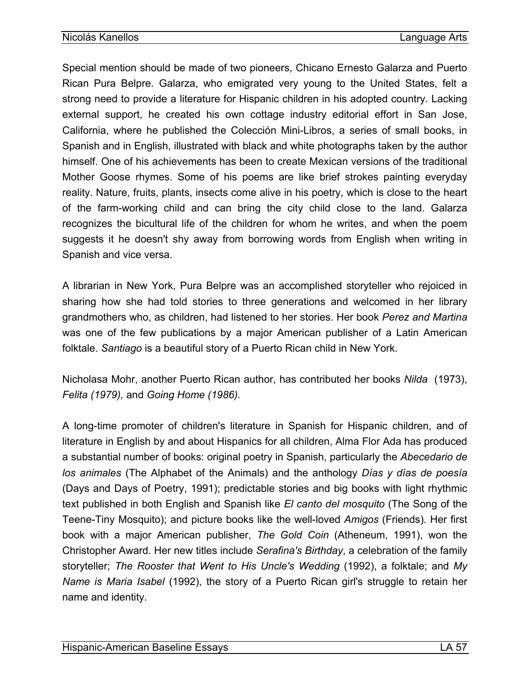Special mention should be made of two pioneers, Chicano Ernesto Galarza and Puerto Rican Pura Belpre. Galarza, who emigrated very young to the United States, felt a strong need to provide a literature for Hispanic children in his adopted country. Lacking external support, he created his own cottage industry editorial effort in San Jose, California, where he published the Colección Mini-Libros, a series of small books, in Spanish and in English, illustrated with black and white photographs taken by the author himself. One of his achievements has been to create Mexican versions of the traditional Mother Goose rhymes. Some of his poems are like brief strokes painting everyday reality. Nature, fruits, plants, insects come alive in his poetry, which is close to the heart of the farm-working child and can bring the city child close to the land. Galarza recognizes the bicultural life of the children for whom he writes, and when the poem suggests it he doesn't shy away from borrowing words from English when writing in Spanish and vice versa.

A librarian in New York, Pura Belpre was an accomplished storyteller who rejoiced in sharing how she had told stories to three generations and welcomed in her library grandmothers who, as children, had listened to her stories. Her book *Perez and Martina* was one of the few publications by a major American publisher of a Latin American folktale. *Santiago* is a beautiful story of a Puerto Rican child in New York.

Nicholasa Mohr, another Puerto Rican author, has contributed her books *Nilda* (1973), *Felita (1979),* and *Going Home (1986).*

A long-time promoter of children's literature in Spanish for Hispanic children, and of literature in English by and about Hispanics for all children, Alma Flor Ada has produced a substantial number of books: original poetry in Spanish, particularly the *Abecedario de los animales* (The Alphabet of the Animals) and the anthology *Días y días de poesía* (Days and Days of Poetry, 1991); predictable stories and big books with light rhythmic text published in both English and Spanish like *El canto del mosquito* (The Song of the Teene-Tiny Mosquito); and picture books like the well-loved *Amigos* (Friends)*.* Her first book with a major American publisher, *The Gold Coin* (Atheneum, 1991), won the Christopher Award. Her new titles include *Serafina's Birthday*, a celebration of the family storyteller; *The Rooster that Went to His Uncle's Wedding* (1992), a folktale; and *My Name is Maria Isabel* (1992), the story of a Puerto Rican girl's struggle to retain her name and identity.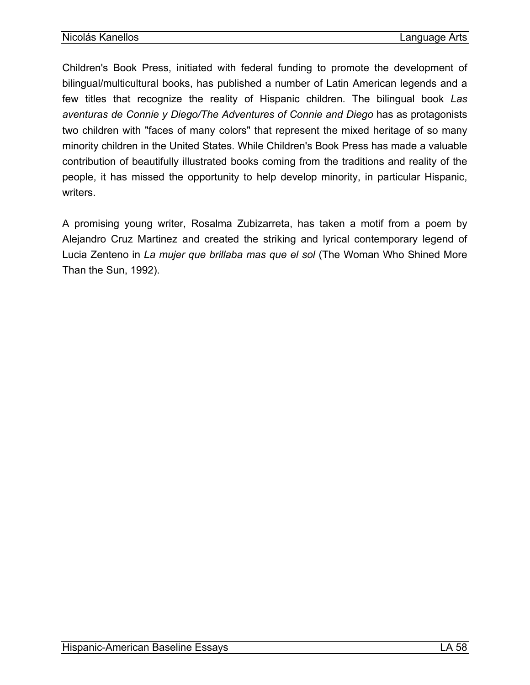Children's Book Press, initiated with federal funding to promote the development of bilingual/multicultural books, has published a number of Latin American legends and a few titles that recognize the reality of Hispanic children. The bilingual book *Las aventuras de Connie y Diego/The Adventures of Connie and Diego* has as protagonists two children with "faces of many colors" that represent the mixed heritage of so many minority children in the United States. While Children's Book Press has made a valuable contribution of beautifully illustrated books coming from the traditions and reality of the people, it has missed the opportunity to help develop minority, in particular Hispanic, writers.

A promising young writer, Rosalma Zubizarreta, has taken a motif from a poem by Alejandro Cruz Martinez and created the striking and lyrical contemporary legend of Lucia Zenteno in *La mujer que brillaba mas que el sol* (The Woman Who Shined More Than the Sun, 1992).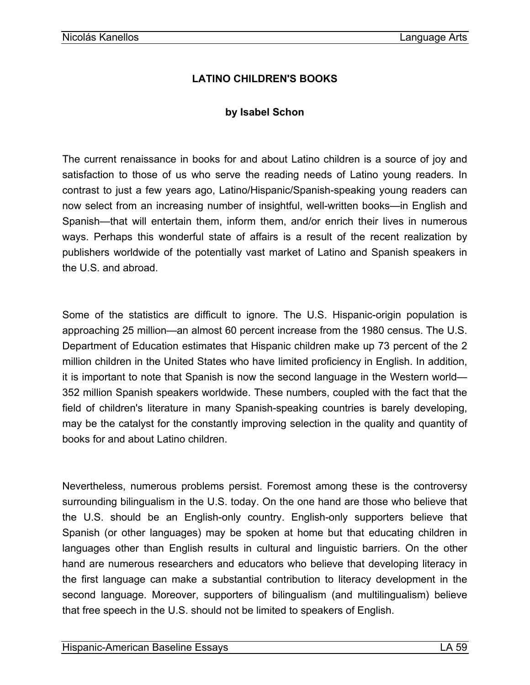# **LATINO CHILDREN'S BOOKS**

### **by Isabel Schon**

<span id="page-60-0"></span>The current renaissance in books for and about Latino children is a source of joy and satisfaction to those of us who serve the reading needs of Latino young readers. In contrast to just a few years ago, Latino/Hispanic/Spanish-speaking young readers can now select from an increasing number of insightful, well-written books—in English and Spanish—that will entertain them, inform them, and/or enrich their lives in numerous ways. Perhaps this wonderful state of affairs is a result of the recent realization by publishers worldwide of the potentially vast market of Latino and Spanish speakers in the U.S. and abroad.

Some of the statistics are difficult to ignore. The U.S. Hispanic-origin population is approaching 25 million—an almost 60 percent increase from the 1980 census. The U.S. Department of Education estimates that Hispanic children make up 73 percent of the 2 million children in the United States who have limited proficiency in English. In addition, it is important to note that Spanish is now the second language in the Western world— 352 million Spanish speakers worldwide. These numbers, coupled with the fact that the field of children's literature in many Spanish-speaking countries is barely developing, may be the catalyst for the constantly improving selection in the quality and quantity of books for and about Latino children.

Nevertheless, numerous problems persist. Foremost among these is the controversy surrounding bilingualism in the U.S. today. On the one hand are those who believe that the U.S. should be an English-only country. English-only supporters believe that Spanish (or other languages) may be spoken at home but that educating children in languages other than English results in cultural and linguistic barriers. On the other hand are numerous researchers and educators who believe that developing literacy in the first language can make a substantial contribution to literacy development in the second language. Moreover, supporters of bilingualism (and multilingualism) believe that free speech in the U.S. should not be limited to speakers of English.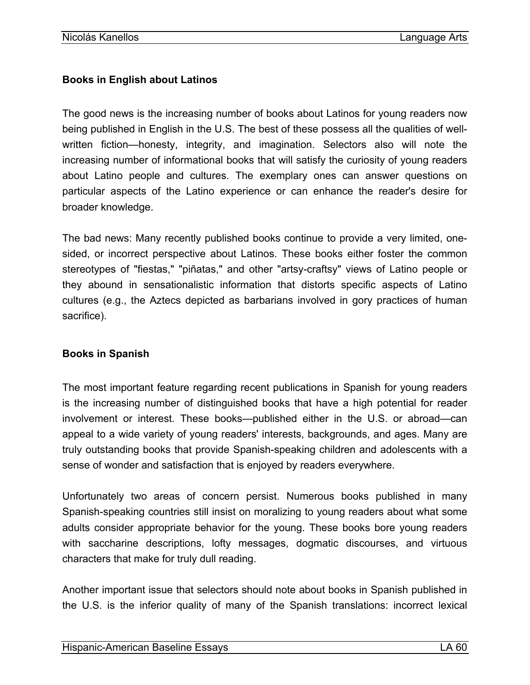# <span id="page-61-0"></span>**Books in English about Latinos**

The good news is the increasing number of books about Latinos for young readers now being published in English in the U.S. The best of these possess all the qualities of wellwritten fiction—honesty, integrity, and imagination. Selectors also will note the increasing number of informational books that will satisfy the curiosity of young readers about Latino people and cultures. The exemplary ones can answer questions on particular aspects of the Latino experience or can enhance the reader's desire for broader knowledge.

The bad news: Many recently published books continue to provide a very limited, onesided, or incorrect perspective about Latinos. These books either foster the common stereotypes of "fiestas," "piñatas," and other "artsy-craftsy" views of Latino people or they abound in sensationalistic information that distorts specific aspects of Latino cultures (e.g., the Aztecs depicted as barbarians involved in gory practices of human sacrifice).

### **Books in Spanish**

The most important feature regarding recent publications in Spanish for young readers is the increasing number of distinguished books that have a high potential for reader involvement or interest. These books—published either in the U.S. or abroad—can appeal to a wide variety of young readers' interests, backgrounds, and ages. Many are truly outstanding books that provide Spanish-speaking children and adolescents with a sense of wonder and satisfaction that is enjoyed by readers everywhere.

Unfortunately two areas of concern persist. Numerous books published in many Spanish-speaking countries still insist on moralizing to young readers about what some adults consider appropriate behavior for the young. These books bore young readers with saccharine descriptions, lofty messages, dogmatic discourses, and virtuous characters that make for truly dull reading.

Another important issue that selectors should note about books in Spanish published in the U.S. is the inferior quality of many of the Spanish translations: incorrect lexical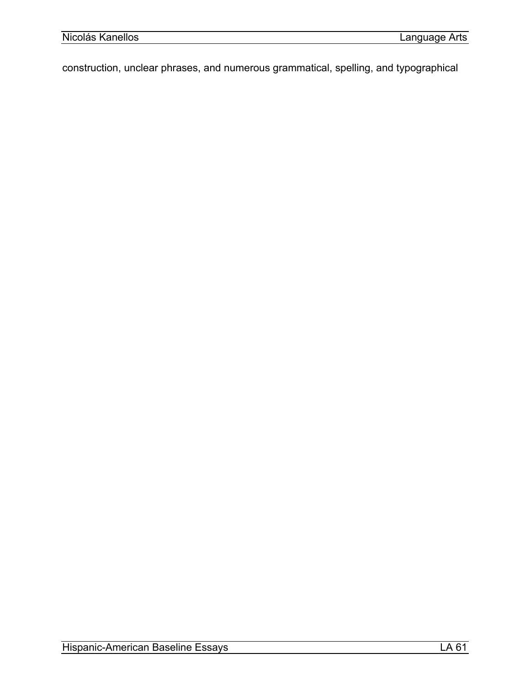construction, unclear phrases, and numerous grammatical, spelling, and typographical